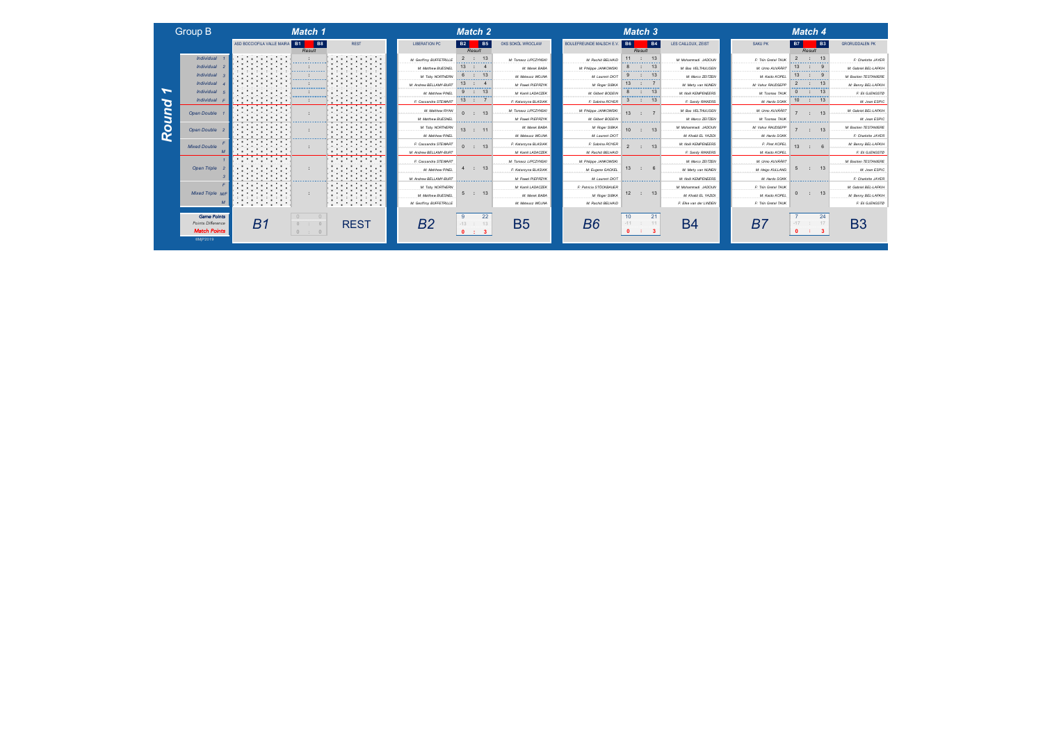|                      |                          | Match 4 |                |                       |
|----------------------|--------------------------|---------|----------------|-----------------------|
| SAKU PK              | <b>B7</b>                |         | B <sub>3</sub> | <b>GRORUDDALEN PK</b> |
|                      |                          | Result  |                |                       |
| F: Thin Gretel TALK  | $\overline{\phantom{0}}$ | ÷       | 13             | F: Charlotte JAYER    |
| M: Umo AUVÄÄRT       | 13                       |         | я              | M: Gabriel BEL-LAFKIH |
| M: Kaido KOPEL       | 13                       |         | 9              | M: Bastien TESTAN/ERE |
| M: Vabur RAUDSEPP    | 2                        |         | 13             | M: Benny BEL-LAFKIH   |
| M: Toomas TAUK       | 0                        |         | 13             | F: Eli GJENGSTØ       |
| M: Hardo SOKK        | 10                       | ÷       | 13             | M: Jean ESPIC         |
| M: Umo AUVÄÄRT       | $\overline{7}$           | t       | 13             | M: Gabriel BEL-LAFKIH |
| M: Toomas TALK       |                          |         |                | M: Jean ESPIC         |
| M: Vahur RAUDSEPP    | 7                        | ٠       | 13             | M: Bastien TESTANIERE |
| M: Hardo SOKK        |                          |         |                | F: Charlotte JAYER    |
| F: Pinet KOPEL       | 13                       | ÷       | 6              | M: Benny BEL-LAFKIH   |
| M: Kaido KOPEL       |                          |         |                | F: Eli GJENGSTØ       |
| M: Umo AUVÄÄRT       |                          |         |                | M: Bastien TESTANIERE |
| M: Heigo KULLANG     | 5                        | $\cdot$ | 13             | M: Jean ESPIC         |
| M: Hardo SOKK        |                          |         |                | F: Charlotte JAYER    |
| F: Triin Gretel TAUK |                          |         |                | M: Gabriel BEL-LAFKIH |
| M: Kaido KOPEL       | $\Omega$                 | ÷       | 13             | M: Benny BEL-LAFKIH   |
| F: Triin Gretel TAUK |                          |         |                | F: Eli GJENGSTØ       |
|                      |                          |         |                |                       |



|                       |           | Match 4             |                      |                        | Match 3             |                          |                          |                      | <b>Match 2</b>             |                |                     |
|-----------------------|-----------|---------------------|----------------------|------------------------|---------------------|--------------------------|--------------------------|----------------------|----------------------------|----------------|---------------------|
| <b>GRORUDDALEN PK</b> | <b>B3</b> | <b>B7</b><br>Result | SAKU PK              | LES CAILLOUX, ZEIST    | <b>B4</b><br>Result | <b>B6</b>                | BOULEFREUNDE MALSCH E.V. | OKS SOKÓL WROCLAW    | <b>B5</b><br>Result        | <b>B2</b>      | <b>ERATION PC</b>   |
| F: Charlotte JAYER    | 13        | $\overline{2}$      | F: Triin Gretel TAUK | M: Mohammadi JADOUN    | 13                  | 11                       | M: Rachid BELHAID        | M: Tomasz LIPCZYNSKI | 13                         | $\overline{2}$ | eoffroy BUFFETRILLE |
| M: Gabriel BEL-LAFKIH |           | 13                  | M: Umro AUVÄÄRT      | M: Bas VELTHUIJSEN     | 13                  | 8                        | M: Philippe JANKOWSKI    | M: Marek BABA        |                            | 13             | M: Matthew BUESNEL  |
| M: Bastien TESTAN/ERE |           | 13                  | M: Kaido KOPEL       | M: Marco ZEITZEN       | 13                  | 9                        | M: Laurent DIOT          | M: Mateusz WOJNA     | 13                         | 6              | M: Toby NORTHERN    |
| M: Benny BEL-LAFKIH   | 13        | 2                   | M: Vahur RAUDSEPP    | M: Marty van NUNEN     |                     | 13                       | M: Roger SIBKA           | M: Pawel PIEPRZYK    |                            | 13             | drew BELLAMY-BURT   |
| F: Eli GJENGSTØ       | 13        | $\Omega$            | M: Toomas TAUK       | M: Noël KEMPENEERS     | 13                  | 8                        | M: Gilbert BODEIN        | M: Kamil LADACZEK    | 13                         | $\mathbf{Q}$   | M: Matthew PINEL    |
| M: Jean ESPIC         | 13        | 10 <sup>10</sup>    | M: Hardo SOKK        | F: Sandy RIKKERS       | 13                  | 3                        | F: Sabrina ROYER         | F: Katarzyna BLASIAK |                            | 13             | Cassandra STEWART   |
| M: Gabriel BEL-LAFKIH | 13        | $\overline{7}$      | M: Umro AUVÄÄRT      | M: Bas VELTHUIJSEN     |                     | 13                       | M: Philippe JANKOWSKI    | M: Tomasz LIPCZYNSKI | 13                         | $\Omega$       | M: Matthew RYAN     |
| M: Jean ESPIC         |           |                     | M: Toomas TAUK       | M: Marco ZEITZEN       |                     |                          | M: Gilbert BODEIN        | M: Pawel PIEPRZYK    |                            |                | M: Matthew BUESNEL  |
| M: Bastien TESTAN/ERE |           |                     | M: Vahur RAUDSEPP    | M: Mohammadi JADOUN    | 13                  | 10                       | M: Roger SIBKA           | M: Marek BABA        | 11                         | 13             | M: Toby NORTHERN    |
| F: Charlotte JAYER    |           |                     | M: Hardo SOKK        | M: Khalid EL YAZIDI    | --------------      |                          | M: Laurent DIOT          | M: Mateusz WOJNA     | <b>Construction</b>        |                | M: Matthew PINEL    |
| M: Benny BEL-LAFKIH   |           | 13                  | F: Piret KOPEL       | M: Noël KEMPENEERS     | 13                  | $\overline{\phantom{a}}$ | F: Sabrina ROYER         | F: Katarzyna BLASIAK | 13                         | $\Omega$       | Cassandra STEWART   |
| F: Eli GJENGSTØ       |           |                     | M: Kaido KOPEL       | F: Sandy RIKKERS       |                     |                          | M: Rachid BELHAID        | M: Kamil LADACZEK    |                            |                | drew BELLAMY-BURT   |
| M: Bastien TESTAN/ERE |           |                     | M: Umro AUVÄÄRT      | M: Marco ZEITZEN       |                     |                          | M: Philippe JANKOWSKI    | M: Tomasz LIPCZYNSKI |                            |                | Cassandra STEWART   |
| M: Jean ESPIC         | 13        |                     | M: Heigo KULLANG     | M: Marty van NUNEN     | 6                   | 13                       | M: Eugene GACKEL         | F: Katarzyna BLASIAK | 13<br>$\ddot{\phantom{a}}$ | 4              | M: Matthew PINEL    |
| F: Charlotte JAYER    |           |                     | M: Hardo SOKK        | M: Noël KEMPENEERS     | --------------      |                          | M: Laurent DIOT          | M: Pawel PIEPRZYK    |                            |                | drew BELLAMY-BURT   |
| M: Gabriel BEL-LAFKIH |           |                     | F: Triin Gretel TAUK | M: Mohammadi JADOUN    |                     |                          | F: Patricia STÖCKBAUER   | M: Kami LADACZEK     |                            |                | M: Toby NORTHERN    |
| M: Benny BEL-LAFKIH   | 13        | $\mathbf 0$         | M: Kaido KOPEL       | M: Khalid EL YAZIDI    | 13                  | 12                       | M: Roger SIBKA           | M: Marek BABA        | 13                         | 5              | M: Matthew BUESNEL  |
| F: Eli GJENGSTØ       |           |                     | F: Triin Gretel TAUK | F: Elke van der LINDEN |                     |                          | M: Rachid BELHAID        | M: Mateusz WOJNA     |                            |                | eoffroy BUFFETRILLE |
|                       |           |                     |                      |                        |                     |                          |                          |                      |                            |                |                     |

| Match 1                                                                                                              | Match 2                                                                         | Match 3                                                                               | Match 4                                                              |
|----------------------------------------------------------------------------------------------------------------------|---------------------------------------------------------------------------------|---------------------------------------------------------------------------------------|----------------------------------------------------------------------|
| <b>B8</b><br>l B1<br>ASD BOCCIOFILA VALLE MAIRA<br><b>REST</b><br>Result                                             | <b>B5</b><br>OKS SOKÓL WROCLAW<br><b>B2</b><br><b>LIBERATION PC</b><br>Result   | <b>B4</b><br><b>B6</b><br><b>BOULEFREUNDE MALSCH</b><br>LES CAILLOUX, ZEIST<br>Result | <b>B3</b><br><b>B7</b><br><b>GRORUDDALEN PH</b><br>SAKU PK<br>Result |
| . .<br>$\sim$<br>the contract of the contract of the<br>.<br>.<br>.                                                  | 13<br>M: Geoffroy BUFFETRILLE<br>M: Tomasz LIPCZYNSKI<br>.                      | 13<br>M: Rachid BELHAID<br>M: Mohammadi JADOUN<br>.                                   | F: Triin Gretel TAUP<br>F: Charlotte .                               |
| -----------                                                                                                          | 13<br>M: Marek BABA<br>M: Matthew BUESNEL                                       | 13<br>M: Bas VELTHUIJSEN<br>M: Philippe JANKOWSK                                      | 13<br>M: Umo AUVÄÄR)<br>M: Gabriel BEL-L                             |
| .                                                                                                                    | ĸ<br>M: Toby NORTHERN<br>M: Mateusz WOJNA                                       | 13<br>M: Laurent DIOT<br>M: Marco ZEITZEN<br>.                                        | 13<br>M: Kaido KOPEL<br>M: Bastien TESTA                             |
| ,,,,,,,,,,,,,,,,,,                                                                                                   | 13<br>M: Andrew BELLAMY-BURT<br>M: Pawel PIEPRZYK<br>----------------           | 13<br>M: Roger SIBKA<br>M: Marty van NUNEN<br>,,,,,,,,,,,,,,,,,,,,,,                  | M: Vahur RAUDSEPP<br>M: Benny BEL-L<br>,,,,,,,,,,,,,,,,,,,,,,        |
|                                                                                                                      | $\mathbf{Q}$<br>13<br>M: Kamil LADACZEK<br>M: Matthew PINEL                     | 8<br>13<br>M: Gilbert BODEIN<br>M: Noël KEMPENEERS                                    | 13<br>M: Toomas TAUP<br>F: Eli GJEN                                  |
| .<br><b>Contract Contract Contract</b>                                                                               | 13<br>- 11<br>F: Cassandra STEWART<br>F: Katarzyna BLASIAK                      | 13<br>3<br>F: Sabrina ROYER<br>F: Sandy RIKKERS                                       | 10<br>-13<br>-11<br>M: Hardo SOKK<br>M: Jean                         |
| . .<br>. .<br>. .                                                                                                    | M: Tomasz LIPCZYNSKI<br>M: Matthew RYAN<br>13<br>$\sim$                         | M: Philippe JANKOWSKI<br>M: Bas VELTHUIJSEN<br>13                                     | M: Umo AUVÄÄRT<br>M: Gabriel BEL-L<br>13 <sub>1</sub><br>.           |
|                                                                                                                      | M: Pawel PIEPRZYK<br>M: Matthew BUESNEL<br>.                                    | M: Gilbert BODEIN<br>M: Marco ZEITZEN<br>.                                            | M: Toomas TAUK<br>M: Jean<br>.                                       |
|                                                                                                                      | M: Toby NORTHERN<br>M: Marek BABA<br>13                                         | M: Roger SIBKA<br>M: Mohammadi JADOUN<br>10 <sup>10</sup><br>13<br>.                  | M: Vahur RAUDSEPP<br>M: Bastien TESTA<br>13 <sub>1</sub><br>.        |
| . .<br>. .<br>. .<br><b>Contract Contract Contract</b><br>a manazarta a manazarta                                    | M: Mateusz WOJNA<br>M: Matthew PINEL<br><b>Service Service Service</b>          | M: Khalid EL YAZIDI<br>M: Laurent DIOT<br>a sa manang manang manang                   | M: Hardo SOKK<br>F: Charlotte .<br>a mana mana mana mana mana        |
| <b>1999</b>                                                                                                          | F: Cassandra STEWART<br>F: Katarzyna BLASIAK<br>13<br>$\mathcal{L}$<br>$\Omega$ | <b>M: NoN KEMPENEERS</b><br>F: Sabrina ROYER<br>$\mathcal{P}$<br>13                   | F: Piret KOPEL<br>M: Benny BEL-L<br>13                               |
| .<br>.<br>. .<br>.<br>. .                                                                                            | M: Kamil LADACZEK<br>M: Andrew BELLAMY-BURT                                     | M: Rachid BELHAID<br>F: Sandy RIKKERS                                                 | F: Eli GJEN<br>M: Kaido KOPEL                                        |
| .<br>.<br>. .<br>.<br><b>COL</b><br>.                                                                                | F: Cassandra STEWART<br>M: Tomasz LIPCZYNSKI                                    | M: Marco ZEITZEN<br>M: Phillope JANKOWSKI                                             | M: Bastien TESTA<br>M: Umo AUVÄÄRT                                   |
|                                                                                                                      | : 13<br>M: Matthew PINEL<br>F: Katarzyna BLASIAK                                | 13<br>-6<br>M: Eugene GACKEL<br>M: Marty van NUNEN                                    | 13<br>M: Heigo KULLANG<br>M: Jean                                    |
| . .<br>a sa manang manang pang                                                                                       | M: Pawel PIEPRZYK<br>M: Andrew BELLAMY-BURT<br><b>Service Advisory Control</b>  | <b>M: Noël KEMPENEERS</b><br>M: Laurent DIOT<br><u>a sa sanada a sanada a s</u>       | F: Charlotte .<br>M: Hardo SOKK<br><b>Second-American Seconds</b>    |
| .<br>.<br>. .<br><b>Contract Contract Contract</b><br>the property of the con-<br><b>STEP</b><br>the property of the | M: Kamil LADACZEK<br>M: Toby NORTHERN                                           | F: Patricia STÖCKBAUER<br>M: Mohammadi JADOUN                                         | M: Gabriel BEL-L<br>F: Triin Gretel TAUK                             |
| <b>COL</b><br>. .<br><b>Service</b>                                                                                  | 13<br>$\mathbb{R}^n$<br>5<br>M: Matthew BUESNEL<br>M: Marek BABA                | 12<br>13<br>M: Roger SIBKA<br>M: Khalid EL YAZIDI                                     | 13<br>M: Kaido KOPEL<br>M: Benny BEL-L                               |
| .<br><b>COL</b><br>. .<br>.<br>.                                                                                     | M: Geoffroy BUFFETRILLE<br>M: Mateusz WOJNA                                     | M: Rachid BELHAID<br>F: Elke van der LINDEN                                           | F: Eli GJEN<br>F: Triin Gretel TAUK                                  |
|                                                                                                                      |                                                                                 |                                                                                       |                                                                      |

*B2 B6*

| Group B                                  | Match 1                                                                                                                                   |                                                                                                                                        | <b>Match 2</b>                                       |                      |                        | <b>Match 3</b>                   |                        |                      | Match 4                             |                              |
|------------------------------------------|-------------------------------------------------------------------------------------------------------------------------------------------|----------------------------------------------------------------------------------------------------------------------------------------|------------------------------------------------------|----------------------|------------------------|----------------------------------|------------------------|----------------------|-------------------------------------|------------------------------|
|                                          | ASD BOCCIOFILA VALLE MAIRA B1<br><b>B8</b><br>Result                                                                                      | <b>REST</b><br><b>LIBERATION PC</b>                                                                                                    | <b>B2</b><br><b>B5</b><br>Result                     | OKS SOKÓL WROCLAW    | BOULEFREUNDE MALSCH E  | <b>B4</b><br><b>B6</b><br>Result | LES CAILLOUX, ZEIST    | SAKU PK              | <b>B3</b><br><b>B7</b><br>Result    | <b>GRORUDDALEN PK</b>        |
| Individual                               | the company of the company<br>.<br>.                                                                                                      | the company's company's<br>M: Geoffroy BUFFETRILLE<br>.<br>.                                                                           | $\overline{2}$<br>: 13                               | M: Tomasz LIPCZYNSKI | M: Rachid RFI HAID     | - 13<br>$\sim$ 100 $\sim$<br>.   | M: Mohammadi JADOUN    | F: Triin Gretel TAU  | 13<br>                              | F: Charlotte JAYEF           |
| Individual                               | .<br>.<br>and the contract of the contract of<br>------------                                                                             | the contract of the contract of the<br>M: Matthew BUESNEL<br>and the company of the company of                                         | 13<br>------------                                   | M: Marok BABA        | M: Philippe JANKOWSKI  | 13                               | M: Bas VELTHUIJSEN     | M: Umo AUVÄÄRT       | 13                                  | M: Gabriel BEL-LAFKII-       |
| Individual                               | the contract of the contract of<br>.<br>.<br><b>*************</b><br>.                                                                    | the company's company's company's<br>.<br>M: Toby NORTHERN<br>.<br><b>STATISTICS</b>                                                   | - 13                                                 | M: Mateusz WOJNA     | M: Laurent DIOT<br>.   |                                  | M: Marco ZEITZEN       | M: Kaido KOPEL       | 13<br>                              | <b>M: Bastien TESTANIERE</b> |
| Individual                               | .<br>.<br>,,,,,,,,,,,,,,,,,                                                                                                               | <b>Contract Contract Contract</b><br>M: Andrew BELLAMY-BURT                                                                            | 13<br>,,,,,,,,,,,,,,,,,                              | M: Pawel PIEPRZYK    | M: Roger SIBKA         | 13<br>,,,,,,,,,,,,,,,,,,,,       | M: Marty van NUNEN     | M: Vahur RAUDSEPF    | 13<br>,,,,,,,,,,,,,,,,,,,           | M: Benny BEL-LAFKII-         |
| Individual                               | .<br>.                                                                                                                                    | .<br>the company's company's company's<br>M: Matthew PINEL<br>the contract of the contract of the con-                                 | : 13<br>.                                            | M: Kamil LADACZEK    | M: Gilbert BODEIN      | 13<br>--------------             | M: Notl KEMPENEERS     | M: Toomas TAUK       | 13<br>$\Omega$<br>.                 | F: Eli GJENGSTO              |
| Individual                               | . .<br>the company's company's company's                                                                                                  | the contract of the contract of<br>F: Cassandra STEWART                                                                                | 13 : 7                                               | F: Katarzyna BLASIAK | F: Sabrina ROYER       | 13                               | F: Sandy RIKKERS       | M: Hardo SOKK        | 10<br>-13                           | M: Jean ESPIC                |
| Open Double                              | .<br>the contract of the contract of the<br>.                                                                                             | the contract of the contract of<br>M: Matthew RYAN<br>.<br>.                                                                           | : 13                                                 | M: Tomasz LIPCZYNSKI | M: Philippe JANKOWSKI  | 13 <sup>1</sup><br>$\sim$        | M: Bas VELTHUIJSEN     | M: Umo AUVÄÄRT       | 13                                  | M: Gabriel BEL-LAFKII-       |
|                                          | the contract of the contract of<br>the contract of the contract of the<br>the company's company's<br><b>*************</b>                 | the control of the con-<br>M: Matthew BUESNEL                                                                                          | .                                                    | M: Pawel PIEPRZYK    | M: Gilbert BODEIN      | .                                | M: Marco ZEITZEN       | M: Toomas TAUK       | .                                   | M: Jean ESPIC                |
| Open Double                              | .<br>the contract of the contract of the<br>the company's company's company's                                                             | the control of the control of the<br>.<br>M: Toby NORTHERN<br>and the contract of the<br>the company of the company of                 | 13<br>: 11                                           | M: Marek BABA        | M: Roger SIBKA         | 10 <sup>1</sup><br>13<br>$\sim$  | M: Mohammadi JADOUN    | M: Vahur RAUDSEPI    | 13 <sup>1</sup>                     | M: Bastien TESTANIERE        |
|                                          | .<br><b><i><u>Programmation</u></i></b><br>the contract of the contract of                                                                | the company's company's company's<br>M: Matthew PINEL<br>.                                                                             | <b><i>Construction Construction Construction</i></b> | M: Mateusz WOJNA     | M: Laurent DIOT        | a sa manang manang manang        | M: Khalid EL YAZIDI    | M: Hardo SOKK        | an an an an an an an an an an       | F: Charlotte JAYER           |
| <b>Mixed Double</b>                      | .<br><b>Service Controllers</b><br>the contract of the contract of                                                                        | .<br>F: Cassandra STEWART<br>والمحاول والمحاول                                                                                         | : 13                                                 | F: Katarzyna BLASIAK | F: Sabrina ROYER       | 13<br>$\mathbb{R}^n$             | M: Notl KEMPENEERS     | F: Piret KOPEL       | 13                                  | M: Benny BEL-LAFKII-         |
|                                          | the company's company's com-<br>_ <del>_____</del>                                                                                        | the contract of the contract of the<br>- 10<br>M: Andrew BELLAMY-BURT<br>the contract of the contract of the                           |                                                      | M: Kamil LADACZEK    | M: Rachid BELHAID      |                                  | F: Sandy RIKKERS       | M: Kaido KOPEL       |                                     | F: Eli GJENGSTO              |
|                                          | .<br>أستحدث والمتحالين والمتاري<br>.                                                                                                      | .<br>F: Cassandra STEWART<br>المتواصل والمتواطن والمتواطن                                                                              |                                                      | M: Tomasz LIPCZYNSKI | M: Philippe JANKOWSKI  |                                  | M. Marco ZEITZEN       | M: Umro AUVÄÄRT      |                                     | M: Bastien TESTANIERE        |
| Open Triple                              | <b>Service Controller</b><br>contract the contract of the                                                                                 | the company of the company<br>M: Matthew PINEL                                                                                         | $\therefore$ 13                                      | F: Katarzyna BLASIAK | M: Eugene GACKEL       | $13$ :<br>-6                     | M: Marty van NUNEN     | M: Heigo KULLANG     | 13<br><b>Contract</b><br>5          | M: Jean ESPIC                |
|                                          | the contract of the contract of<br>the contract of the contract of<br>the contract of the contract of<br><b>Construction Construction</b> | the control of the control of the<br>the contract of the contract of<br>M: Andrew BELLAMY-BURT<br>the contract of the contract of<br>. | <u> a san an an an an an an an an </u>               | M: Pawel PIEPRZYK    | M: Laurent DIOT        | a sa manang manang manang        | M: Noël KEMPENEERS     | M: Hardo SOKK        | and an anti-service contractor      | F: Charlotte JAYER           |
|                                          | .<br>the control of the control of the<br>the contract of the contract of the<br>the control of the control of the                        | the contract of the contract of the<br>M: Toby NORTHERN<br>and the company's company's                                                 |                                                      | M: Kamil LADACZEK    | F: Patricia STÖCKBAUER |                                  | M: Mohammadi JADOUN    | F: Triin Gretel TAUK |                                     | M: Gabriel BEL-LAFKII-       |
| <b>Mixed Triple M/F</b>                  | .<br>$\mathbb{R}^n$<br><b>Contract Contract Contract</b>                                                                                  | .<br>M: Matthew BUESNEL<br>the company's company's                                                                                     | 5<br>$\therefore$ 13                                 | M: Marek BABA        | M: Roger SIBKA         | $12$ :<br>13                     | M: Khalid EL YAZIDI    | M: Kaido KOPEL       | 13<br>$\mathbf{0}$<br>$\sim$ $\sim$ | M: Benny BEL-LAFKII-         |
|                                          | and the company of the company<br>the company of the company of                                                                           | and the company of the company<br>M: Geoffroy BUFFETRILLE<br>.                                                                         |                                                      | M: Mateusz WOJNA     | M: Rachid BELHAID      |                                  | F: Elke van der LINDEN | F: Triin Gretel TAUK |                                     | F: Eli GJENGSTO              |
| <b>Game Points</b>                       |                                                                                                                                           |                                                                                                                                        | 22                                                   |                      |                        | 21<br>10                         |                        |                      | 24                                  |                              |
| Points Difference<br><b>Match Points</b> | B1<br>$0\qquad \qquad 0$<br>$\cdots$ 0                                                                                                    | B <sub>2</sub><br><b>REST</b>                                                                                                          | $-13$<br>: 13<br>$\mathbf{0}$<br>$\therefore$ 3      | <b>B5</b>            | B6                     | $-11$<br>11<br>- 200<br>-3<br>÷  | B4                     | B7                   | $-17$<br>17<br>$\sim$               | B3                           |

©MjP2019

*Round 1*

Round 1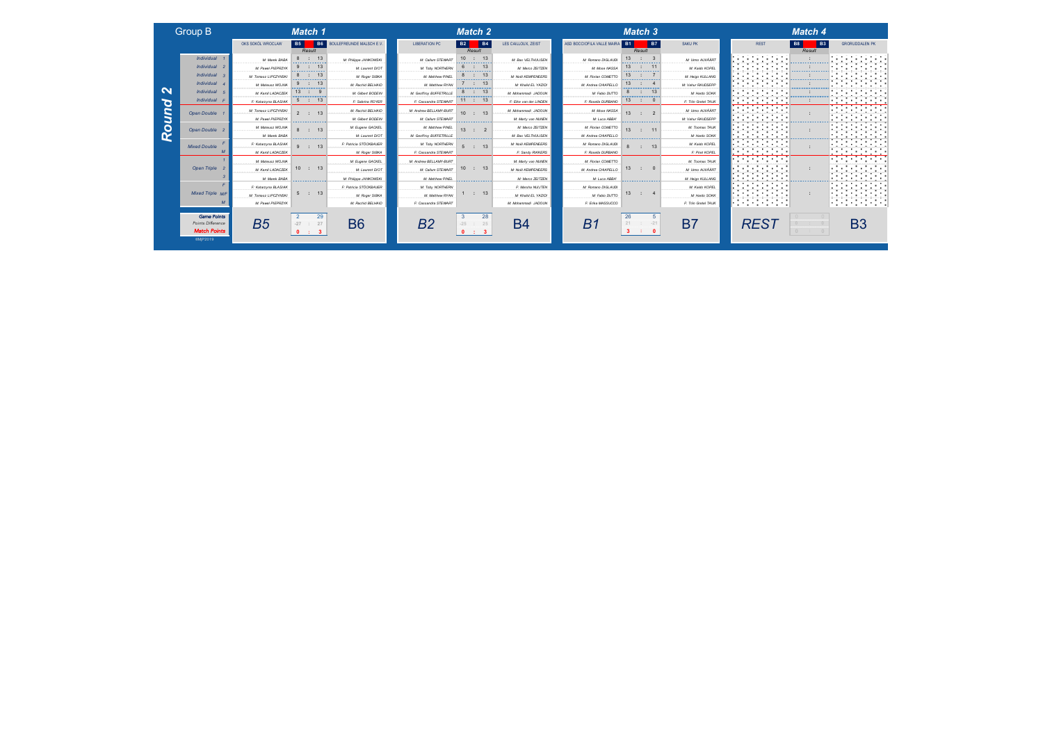| <b>Group B</b> |  |
|----------------|--|
|                |  |

*Round 2*

Round

 $\mathbf{\Omega}$ 

*Match Points* ©MjP2019

| <b>Group B</b>                    |                                           | Match 1                                                                                                                                                                                                                                          |                                           |                                             | Match 2                          |                                           |                                           | Match 3                                                      |                                       | <b>Mate</b>                                   |
|-----------------------------------|-------------------------------------------|--------------------------------------------------------------------------------------------------------------------------------------------------------------------------------------------------------------------------------------------------|-------------------------------------------|---------------------------------------------|----------------------------------|-------------------------------------------|-------------------------------------------|--------------------------------------------------------------|---------------------------------------|-----------------------------------------------|
|                                   | OKS SOKÓL WROCLAW                         | <b>B5</b><br>Result                                                                                                                                                                                                                              | <b>B6</b> BOULEFREUNDE MALSCH E.V.        | <b>LIBERATION PC</b>                        | <b>B4</b><br><b>B2</b><br>Result | LES CAILLOUX, ZEIST                       | ASD BOCCIOFILA VALLE MAIRA B1             | <b>B7</b><br>Result                                          | SAKU PK                               | <b>B8</b><br><b>REST</b><br>Re:               |
| <b>Individual</b>                 | M: Marek BARA                             | : 13                                                                                                                                                                                                                                             | M: Philippe JANKOWSKI                     | M: Callum STEWART                           | 10 : 13                          | M: Bas VELTHUIJSEN                        | M: Romano DIGLAUDI                        | 13 <sup>1</sup>                                              | M: Urmo AUVÄÄRT                       | .                                             |
| Individual 2<br><b>Individual</b> | M: Pawel PIEPRZYK<br>M: Tomasz LIPCZYNSK  | 13                                                                                                                                                                                                                                               | M: Laurent DIOT<br>M: Roger SIBKA         | M: Toby NORTHERN<br>M: Matthew PINEL        | 13                               | M: Marco ZEITZEN<br>M: Noël KEMPENEERS    | M: Mose NASSA<br>M: Florian COMETTO       | 13                                                           | M: Kaido KOPEL                        | <b><i><u>ARRESTS</u></i></b>                  |
| Individual                        | M: Mateusz WOJNA                          | <u> Alexandria (Alexandria Continua)</u>                                                                                                                                                                                                         | M: Rachid BELHAID                         | M: Matthew RYAN                             | <u> Alexandria (m. 1888)</u>     | M: Khalid EL YAZIDI                       | M: Andrea CHIAPELLO                       | .<br>13<br><u> and and and and and and an</u>                | M: Heigo KULLANG<br>M: Vahur RAUDSEPP |                                               |
| <b>Individual</b>                 | M: Kamil LADACZEK                         |                                                                                                                                                                                                                                                  | M: Gilbert BODEI!                         | M: Geoffroy BUFFETRILLE                     | 13<br>--------                   | M: Mohammadi JADOUN                       | M: Fabio DUTTO                            | .                                                            | M: Hardo SOKK                         | ,,,,,,,,,,,<br>.                              |
| <b>Individual</b>                 | F: Katarzyna BLASIAK                      | 5<br>$\therefore$ 13                                                                                                                                                                                                                             | F: Sabrina ROYER                          | F: Cassandra STEWART                        | 11 : 13                          | F: Elke van der LINDEN                    | F: Rosella DURBANO                        | 13<br>0                                                      | F: Triin Gretel TAUK                  |                                               |
| Open Double                       | M: Tomasz LIPCZYNSKI<br>M: Pawel PIEPRZYK | 2 : 13                                                                                                                                                                                                                                           | M: Rachid BELHAID<br>M: Gilbert BODEIN    | M: Andrew BELLAMY-BURT<br>M: Callum STEWART | $10$ :<br>13                     | M: Mohammadi JADOUN<br>M: Marty van NUNEN | M: Mose NASSA<br>M: Luca ABBA             | 13                                                           | M: Urmo AUVÄÄRT<br>M: Vahur RAUDSEPP  | <b>STATE</b><br>.                             |
| Open Double 2                     | M: Mateusz WOJNA                          | .<br>13<br><b>COLL</b>                                                                                                                                                                                                                           | M: Eugene GACKEL                          | M: Matthew PINEL<br>________________        | <br>13 <sup>1</sup>              | M: Marco ZEITZEN                          | M: Florian COMETTO                        | .<br>13                                                      | M: Toomas TAUK                        |                                               |
| <b>Mixed Double</b>               | M: Marek BABA<br>F: Katarzyna BLASIAK     | <u>and and an operation of the sta</u><br>13<br>$\sim$                                                                                                                                                                                           | M: Laurent DIOT<br>F: Patricia STOCKBAUER | M: Geoffroy BUFFETRILLE<br>M: Toby NORTHERN | 5 : 13                           | M: Bas VELTHUUSEN<br>M: Noël KEMPENEERS   | M: Andrea CHIAPELLO<br>M: Romano DIGLAUDI | <u> Alexandro Alexandro Alexandro </u><br>$\mathbf{a}$<br>13 | M: Hardo SOKK<br>M: Kaido KOPEL       | <b>COLUM</b><br><b>Service Service</b><br>.   |
| $\overline{M}$                    | M: Kamil LADACZEK                         |                                                                                                                                                                                                                                                  | M: Roger SIBKA                            | F: Cassandra STEWART                        |                                  | F: Sandy RIKKERS                          | F: Rosella DURBANO                        |                                                              | F: Piret KOPEL                        | .<br>.                                        |
| Open Triple 2                     | M: Mateusz WOJNA                          | 10 : 13                                                                                                                                                                                                                                          | M: Eugene GACKEL                          | M: Andrew BELLAMY-BURT                      | 10 : 13                          | M: Marty van NUNEN                        | M: Rorian COMETTO                         | 13                                                           | M: Toomas TAUK                        | .<br>.<br>.                                   |
|                                   | M: Kamil LADACZEK<br>M: Marek BABA        |                                                                                                                                                                                                                                                  | M: Laurent DIOT<br>M: Philippe JANKOWSKI  | M: Callum STEWART<br>M: Matthew PINEL       |                                  | M: Noël KEMPENEERS<br>M: Marco ZEITZEN    | M: Andrea CHIAPELLO<br>M: Luca ABBA       |                                                              | M: Urmo AUVÄÄRT<br>M: Heigo KULLANG   | .                                             |
|                                   | F: Katarzyna BLASIAK                      | <b><i><u>Programmation Contractor Contractor Contractor Contractor Contractor Contractor Contractor Contractor Contractor Contractor Contractor Contractor Contractor Contractor Contractor Contractor Contractor Contractor Contrac</u></i></b> | F: Patricia STOCKBAUER                    | M: Toby NORTHERN                            | a manazarta manazarta da m       | F: Marsha NUIJTEN                         | M: Romano DIGLAUDI                        | a sa matangan na matangan na m                               | M: Kaido KOPEL                        | .<br>.                                        |
| <b>Mixed Triple M/F</b>           | M: Tomasz LIPCZYNSKI                      | 5 : 13                                                                                                                                                                                                                                           | M: Roger SIBKA                            | M: Matthew RYAN                             | <b>Contract Contract</b><br>13   | M: Khalid EL YAZIDI                       | M: Fabio DUTTO                            | 13                                                           | M: Hardo SOKK                         |                                               |
| M                                 | M: Pawel PIEPRZYK                         |                                                                                                                                                                                                                                                  | M: Rachid BELHAID                         | F: Cassandra STEWART                        |                                  | M: Mohammadi JADOUN                       | F: Erika MASSUCCO                         |                                                              | F: Triin Gretel TAUK                  | The Committee of the Committee of<br>. .<br>. |

|                    |                                       | <u> .</u>                                                                                                                                                                                                                                        |                                     |                                             |                                          |                                          |                                           |                                               |                                   |                                                                                                                                                                                                                                      |                       |  |  |
|--------------------|---------------------------------------|--------------------------------------------------------------------------------------------------------------------------------------------------------------------------------------------------------------------------------------------------|-------------------------------------|---------------------------------------------|------------------------------------------|------------------------------------------|-------------------------------------------|-----------------------------------------------|-----------------------------------|--------------------------------------------------------------------------------------------------------------------------------------------------------------------------------------------------------------------------------------|-----------------------|--|--|
|                    | OKS SOKÓL WROCLAW                     | <b>B6</b><br><b>B5</b>                                                                                                                                                                                                                           | BOULEFREUNDE MALSCH E.V.            | <b>LIBERATION PC</b>                        | <b>B4</b><br><b>B2</b>                   | LES CAILLOUX, ZEIST                      | ASD BOCCIOFILA VALLE MAIRA                | <b>B1</b><br><b>B7</b>                        | SAKU PK                           | <b>REST</b>                                                                                                                                                                                                                          | <b>B8</b><br><b>B</b> |  |  |
|                    |                                       | Result                                                                                                                                                                                                                                           |                                     |                                             | Result                                   |                                          |                                           | Result                                        |                                   |                                                                                                                                                                                                                                      | Result                |  |  |
| Isubivid           | M: Marek BABA                         | : 13<br>8                                                                                                                                                                                                                                        | M: Phillope JANKOWSKI               | M: Callum STEWART                           | 10 <sup>1</sup><br>: 13                  | M: Bas VELTHUUSEN                        | M: Romano DIGLAUDI                        | 13                                            | M: Urmo AUVÄÄRT                   | and the company of the com-                                                                                                                                                                                                          |                       |  |  |
| Isubivid           | M: Pawel PIEPRZYK                     | 13                                                                                                                                                                                                                                               | M: Laurent DIOT                     | M: Toby NORTHERN                            | 6<br>13                                  | M: Marco ZEITZEN                         | M: Mose NASSA                             | 13                                            | M: Kaido KOPEL                    |                                                                                                                                                                                                                                      |                       |  |  |
| dividual           | M: Tomasz LIPCZYNSKI                  |                                                                                                                                                                                                                                                  | M: Roger SIBKA                      | M: Matthew PINEL                            |                                          | M: Noël KEMPENEERS                       | M: Florian COMETTO                        | .                                             | M: Heigo KULLANG                  |                                                                                                                                                                                                                                      | .                     |  |  |
| dividual           | M: Mateusz WOJNA                      | 13                                                                                                                                                                                                                                               | M: Rachid BELHAID                   | M: Matthew RYAN                             | 13<br><u> Santa Caracteria (m. 1888)</u> | M: Khalid EL YAZIDI                      | M: Andrea CHIAPELLO                       | 13<br>a sa manang manang manang               | M: Vahur RAUDSEPP                 |                                                                                                                                                                                                                                      |                       |  |  |
| dividual           | M: Kamil LADACZEK                     | $13$ :<br>-9                                                                                                                                                                                                                                     | M: Gilbert BODEIN                   | M: Geoffroy BUFFETRILLE                     | $\therefore$ 13<br>8                     | M: Mohammadi JADOUN                      | M: Fabio DUTTO                            | 8<br>13<br>$\sim$ 100                         | M: Hardo SOKK                     |                                                                                                                                                                                                                                      |                       |  |  |
| Idividual          | F: Katarzyna BLASIAK                  | 5 : 13                                                                                                                                                                                                                                           | F: Sabrina ROYER                    | F: Cassandra STEWART                        | 11 : 13                                  | F: Elke van der LINDEN                   | F: Rosella DURBANO                        | 13<br>$\sim$ 10                               | F: Thin Gretal TAUK               |                                                                                                                                                                                                                                      |                       |  |  |
| Double             | M: Tomasz LIPCZYNSKI                  | 13                                                                                                                                                                                                                                               | M: Rachid BELHAID                   | M: Andrew BELLAMY-BURT                      | 10 <sup>1</sup>                          | M: Mohammadi JADOUN                      | M: Mose NASSA                             |                                               | M: Urmo AUVÄÄRT                   | the company of the company of the<br>والمتواط والمتوارد والمتوارث والمتوار                                                                                                                                                           |                       |  |  |
|                    | M: Pawel PIEPRZYK                     | .                                                                                                                                                                                                                                                | M: Gilbert BODEIN                   | M: Callum STEWART                           | .                                        | M: Marty van NUNEN                       | M: Luca ABBA'                             | .                                             | M: Vahur RAUDSEPP                 | .                                                                                                                                                                                                                                    |                       |  |  |
| Double             | M: Mateusz WOJNA                      | $\therefore$ 13                                                                                                                                                                                                                                  | M: Eugene GACKEL                    | M: Matthew PINEL                            | 13                                       | M: Marco ZEITZEN                         | M: Florian COMETTO                        | 13                                            | M: Toomas TAUK                    |                                                                                                                                                                                                                                      |                       |  |  |
|                    | M: Marek BABA                         | <u>and and an operation of the sta</u>                                                                                                                                                                                                           | M: Laurent DIOT                     | M: Geoffroy BUFFETRILLE                     | and an announcement of the control of    | M: Bas VELTHUIJSEN                       | M: Andrea CHIAPELLO                       | <b>Construction Construction Construction</b> | M: Hardo SOKK                     |                                                                                                                                                                                                                                      |                       |  |  |
| <b>Double</b>      | F: Katarzyna BLASIAK                  | $\cdot$ 13<br>$\Omega$                                                                                                                                                                                                                           | F: Patricia STOCKBAUER              | M: Toby NORTHERN                            | $\cdot$ 13<br>$5^{\circ}$                | M: Noël KEMPENEERS                       | M: Romano DIGLAUDI                        | 8<br>13<br>$\sim$                             | M: Kaido KOPEL                    | .<br>.                                                                                                                                                                                                                               |                       |  |  |
| $\overline{M}$     | M: Kamil LADACZEK                     |                                                                                                                                                                                                                                                  | M: Roger SIBKA                      | F: Cassandra STEWART                        |                                          | F: Sandy RIKKERS                         | F: Rosella DURBANO                        |                                               | F: Piret KOPEL                    | .                                                                                                                                                                                                                                    |                       |  |  |
| en Triple          | M: Mateusz WOJNA<br>M: Kamil LADACZEK | 10 : 13                                                                                                                                                                                                                                          | M: Eugene GACKEL<br>M: Laurent DIOT | M: Andrew BELLAMY-BURT<br>M: Callum STEWART | 10<br>$\therefore$ 13                    | M: Marty van NUNEN<br>M: Noël KEMPENEERS | M: Florian COMETTO<br>M: Andrea CHIAPELLO | 13<br>$\mathbb{R}^n$                          | M: Toomas TAUK<br>M: Urmo AUVÄÄRT | <b>The Contract of the Contract of the Contract of the Contract of the Contract of the Contract of the Contract of the Contract of the Contract of the Contract of the Contract of the Contract of the Contract of the Contract </b> |                       |  |  |
|                    | M: Marek BABA                         |                                                                                                                                                                                                                                                  | M: Phillope JANKOWSKI               | M: Matthew PINEL                            |                                          | M: Marco ZEITZEN                         | M: Luca ABBA*                             |                                               | M: Heigo KULLANG                  | <b>A</b>                                                                                                                                                                                                                             |                       |  |  |
|                    |                                       | <b><i><u>Programmation control to the State State State State State State State State State State State State State State State State State State State State State State State State State State State State State State State Stat</u></i></b> |                                     |                                             | <b>Alexandro Alexandro Alexandro</b>     |                                          |                                           | <u>an an an amaran an an an an a</u>          |                                   |                                                                                                                                                                                                                                      |                       |  |  |
| ed Triple M/F      | F: Katarzyna BLASIAK                  | 13                                                                                                                                                                                                                                               | F: Patricia STÖCKBAUER              | M: Toby NORTHERN                            | : 13                                     | F: Marsha NUIJTEN                        | M: Romano DIGLAUDI                        | 13                                            | M: Kaido KOPEL                    | the property and<br><b>Contract Contract Contract</b>                                                                                                                                                                                |                       |  |  |
|                    | M: Tomasz LIPCZYNSKI                  | <b>Contract Contract</b>                                                                                                                                                                                                                         | M: Roger SIBKA                      | M: Matthew RYAN                             |                                          | M: Khalid EL YAZIDI                      | M: Fabio DUTTO                            |                                               | M: Hardo SOKK                     | .                                                                                                                                                                                                                                    |                       |  |  |
| M                  | M: Pawel PIEPRZYK                     |                                                                                                                                                                                                                                                  | M: Rachid BELHAID                   | F: Cassandra STEWART                        |                                          | M: Mohammadi JADOUN                      | F: Erika MASSUCCO                         |                                               | F: Thin Gretel TAUK               | .                                                                                                                                                                                                                                    |                       |  |  |
| <b>Game Points</b> |                                       | 29                                                                                                                                                                                                                                               |                                     |                                             | 28                                       |                                          |                                           | 26<br>5                                       |                                   |                                                                                                                                                                                                                                      |                       |  |  |
| nts Difference     | B5                                    | 27<br>$-27$                                                                                                                                                                                                                                      | B6                                  | B2                                          | 25                                       | B4                                       | B1                                        | $-21$                                         | B7                                | RES1                                                                                                                                                                                                                                 |                       |  |  |
| atch Pointe        |                                       | $\sim$<br><b>STATE OF STATE OF STATE</b>                                                                                                                                                                                                         |                                     |                                             | $\sim$                                   |                                          |                                           |                                               |                                   |                                                                                                                                                                                                                                      |                       |  |  |

|                      | Match 1                                                                                                                                                                                                                                          |                                |                         | Match 2                            |                        |                           | <b>Match 3</b>                                                                                                        |                     |                                                   | Match 4                                                                                                                                                                                                                                          |                                                                       |
|----------------------|--------------------------------------------------------------------------------------------------------------------------------------------------------------------------------------------------------------------------------------------------|--------------------------------|-------------------------|------------------------------------|------------------------|---------------------------|-----------------------------------------------------------------------------------------------------------------------|---------------------|---------------------------------------------------|--------------------------------------------------------------------------------------------------------------------------------------------------------------------------------------------------------------------------------------------------|-----------------------------------------------------------------------|
| OKS SOKÓL WROCLAW    | <b>B5</b><br><b>B6</b><br>Result                                                                                                                                                                                                                 | <b>BOULEFREUNDE MALSCH E.V</b> | <b>LIBERATION PC</b>    | <b>B4</b><br><b>B2</b><br>Result   | LES CAILLOUX, ZEIST    | ASD BOCCIOFILA VALLE MAIR | <b>B7</b><br><b>B1</b><br>Result                                                                                      | <b>SAKU PK</b>      | <b>REST</b>                                       | <b>B3</b><br><b>B8</b><br>Result                                                                                                                                                                                                                 | <b>GRORUDDALEN PH</b>                                                 |
| M: Marek BABA        | 13<br>8<br>$\mathbb{R}^n$<br>------------                                                                                                                                                                                                        | M: Philippe JANKOWSKI          | M: Callum STEWART       | 10<br>13<br>.                      | M: Bas VELTHUUSEN      | M: Romano DIGLAUDI        | 13<br>.                                                                                                               | M: Urmo AUVÄÄRT     | .                                                 |                                                                                                                                                                                                                                                  | .                                                                     |
| M: Pawel PIEPRZYK    | 13<br>9<br>.                                                                                                                                                                                                                                     | M: Laurent DIOT                | M: Toby NORTHERN        | 6<br>13<br>                        | M: Marco ZEITZEN       | M: Mose MASSA             | 13<br>.                                                                                                               | M: Kaido KOPEL      |                                                   | . <u>.</u>                                                                                                                                                                                                                                       |                                                                       |
| M: Tomasz LIPCZYNSK  |                                                                                                                                                                                                                                                  | M: Roger SIBKA                 | M: Matthew PINEL        | 8<br>-13<br>.                      | M: Noël KEMPENEERS     | M: Florian COMETTI        |                                                                                                                       | M: Heigo KULLANG    |                                                   | .                                                                                                                                                                                                                                                | . .                                                                   |
| M: Mateusz WOJNA     | 13<br><u> Alexandria (Alexandria Continua)</u>                                                                                                                                                                                                   | M: Rachid BELHAID              | M: Matthew RYAN         | -13                                | M: Khalid EL YAZIDI    | M: Andrea CHIAPELLO       | 13<br>and an announcement of the contract of                                                                          | M: Vahur RAUDSEPP   |                                                   | <u> Alexandria (Alexandria (Alexandria)</u>                                                                                                                                                                                                      |                                                                       |
| M: Kamil LADACZEK    | 13                                                                                                                                                                                                                                               | M: Gilbert BODEIN              | M: Geoffroy BUFFETRILLE | 13<br>8<br>.                       | M: Mohammadi JADOUN    | M: Fabio DUTTO            | 13<br>8<br>. <u>.</u>                                                                                                 | M: Hardo SOKK       | . .                                               | .                                                                                                                                                                                                                                                | .                                                                     |
| F: Katarzyna BLASIAK | 13<br>5                                                                                                                                                                                                                                          | F: Sabrina ROYER               | F: Cassandra STEWART    | 11 : 13                            | F: Elke van der LINDEN | F: Rosella DURBANO        | 13<br>- 11                                                                                                            | F: Thin Gretal TAUK |                                                   |                                                                                                                                                                                                                                                  | .<br>. .<br>.                                                         |
| M: Tomasz LIPCZYNSK  |                                                                                                                                                                                                                                                  | M: Rachid BELHAID              | M: Andrew BELLAMY-BURT  | 10<br>13                           | M: Mohammadi JADOUN    | M: Mose NASSA             | 13                                                                                                                    | M: Urmo AUVÄÄRT     | --                                                |                                                                                                                                                                                                                                                  | . .<br>. .<br>.                                                       |
| M: Pawel PIEPRZYK    | .                                                                                                                                                                                                                                                | M: Gilbert BODEIN              | M: Callum STEWART       | .                                  | M: Marty van NUNEN     | M: Luca ABBA              | .                                                                                                                     | M: Vahur RAUDSEPP   | .                                                 |                                                                                                                                                                                                                                                  | . .                                                                   |
| M: Mateusz WOJNA     | 13                                                                                                                                                                                                                                               | M: Eugene GACKEL               | M: Matthew PINEL        | 13                                 | M: Marco ZEITZEN       | M: Rorian COMETTO         | 13                                                                                                                    | M: Toomas TAUK      |                                                   |                                                                                                                                                                                                                                                  | . .<br>. .                                                            |
| M: Marek BABA        | -------------                                                                                                                                                                                                                                    | M: Laurent DIOT                | M: Geoffroy BUFFETRILLE | ,,,,,,,,,,,,,,,,,,,                | M: Bas VELTHUIJSEN     | M: Andrea CHIAPELLO       | ,,,,,,,,,,,,,,,,,,,,,,                                                                                                | M: Hardo SOKK       |                                                   | <b><i><u>Programmation Control Control Control Control Control Control Control Control Control Control Control Control Control Control Control Control Control Control Control Control Control Control Control Control Control Contr</u></i></b> |                                                                       |
| F: Katarzyna BLASIAK | 13<br>$\mathcal{L}$                                                                                                                                                                                                                              | F: Patricia STOCKBAUER         | M: Toby NORTHERN        | 13<br>$5^{\circ}$<br>$\mathcal{L}$ | M: Noël KEMPENEERS     | M: Romano DIGLAUDI        | 13<br>÷.                                                                                                              | M: Kaido KOPEL      | . .<br>.                                          |                                                                                                                                                                                                                                                  | .<br>.                                                                |
| M: Kamil LADACZEK    |                                                                                                                                                                                                                                                  | M: Roger SIBKA                 | F: Cassandra STEWART    |                                    | F: Sandy RIKKERS       | F: Rosella DURBANO        |                                                                                                                       | F: Piret KOPEL      | . .                                               |                                                                                                                                                                                                                                                  | .<br>. .<br><b>COLL</b>                                               |
| M: Mateusz WOJNA     |                                                                                                                                                                                                                                                  | M: Eugene GACKEL               | M: Andrew BELLAMY-BURT  |                                    | M: Marty van NUNEN     | M: Florian COMETTO        |                                                                                                                       | M: Toomas TAUK      | .                                                 |                                                                                                                                                                                                                                                  | .<br><b>Contract Contract Contract</b>                                |
| M: Kamil LADACZEK    | : 13<br>10                                                                                                                                                                                                                                       | M: Laurent DIOT                | M: Callum STEWART       | 10 : 13                            | M: Noël KEMPENEERS     | M: Andrea CHIAPELLO       | 13<br>$\Omega$<br>- 11                                                                                                | M: Urmo AUVÄÄRT     | .<br>$\blacksquare$                               |                                                                                                                                                                                                                                                  | . .                                                                   |
| M: Marek BABA        | <b><i><u>Programmation Contractor Contractor Contractor Contractor Contractor Contractor Contractor Contractor Contractor Contractor Contractor Contractor Contractor Contractor Contractor Contractor Contractor Contractor Contrac</u></i></b> | M: Philippe JANKOWSKI          | M: Matthew PINEL        | a manazarta a manazarta a m        | M: Marco ZEITZEN       | M: Luca ABBA              | <u> Alexandria de Alexandria de Alexandria de Alexandria de Alexandria de Alexandria de Alexandria de Alexandria </u> | M: Heigo KULLANG    | <b>Contract Contract Contract</b><br><b>COLOR</b> |                                                                                                                                                                                                                                                  |                                                                       |
| F: Katarzyna BLASIAK |                                                                                                                                                                                                                                                  | F: Patricia STOCKBAUER         | M: Toby NORTHERN        |                                    | F: Marsha NUIJTEN      | M: Romano DIGLAUDI        |                                                                                                                       | M: Kaido KOPEL      | comment of the comment<br>17 M T                  |                                                                                                                                                                                                                                                  | the contract of the contract of the<br>والمستحيل والمتعاونة والمتعاون |
| M: Tomasz LIPCZYNSKI | 13<br>$\mathcal{L}$<br>5                                                                                                                                                                                                                         | M: Roger SIBKA                 | M: Matthew RYAN         | 13<br>$\mathbb{R}^2$               | M: Khalid EL YAZIDI    | M: Fabio DUTTO            | 13                                                                                                                    | M: Hardo SOKK       | .                                                 |                                                                                                                                                                                                                                                  | . .<br><b>STATE OF BUILDING</b>                                       |
| M: Pawel PIEPRZYK    |                                                                                                                                                                                                                                                  | M: Rachid BELHAID              | F: Cassandra STEWART    |                                    | M: Mohammadi JADOUN    | F: Erika MASSUCCO         |                                                                                                                       | F: Thin Gretel TAUK | .<br>. .<br><b>Contract Contract Contract</b>     |                                                                                                                                                                                                                                                  | .<br>. .                                                              |
|                      |                                                                                                                                                                                                                                                  |                                |                         |                                    |                        |                           |                                                                                                                       |                     |                                                   |                                                                                                                                                                                                                                                  |                                                                       |

|        | <b>B7</b>      | SAKU PK                           | <b>REST</b> | <b>B8</b> | <b>B3</b> | <b>GRORUDDALEN PK</b> |
|--------|----------------|-----------------------------------|-------------|-----------|-----------|-----------------------|
| Result |                |                                   |             |           | Result    |                       |
|        | $\overline{3}$ | M: Urmo AUVÄÄRT                   |             |           |           |                       |
|        | 11             | M: Kaido KOPEL                    |             |           |           |                       |
|        | $\overline{7}$ | M: Heigo KULLANG                  |             |           |           |                       |
|        |                | M: Vahur RAUDSEPP                 |             |           |           |                       |
|        | 13             | M: Hardo SOKK                     |             |           |           |                       |
|        | $\bf{0}$       | F: Triin Gretel TAUK              |             |           |           |                       |
|        | $\overline{2}$ | M: Urmo AUVÄÄRT                   |             |           |           |                       |
|        |                | M: Vahur RAUDSEPP                 |             |           |           |                       |
|        | 11             | M: Toomas TAUK                    |             |           |           |                       |
|        |                | M: Hardo SOKK                     |             |           |           |                       |
|        | 13             | M: Kaido KOPEL                    |             |           |           |                       |
|        |                | F: Piret KOPEL                    |             |           |           |                       |
|        | $\mathbf{0}$   | M: Toomas TAUK<br>M: Urmo AUVÄÄRT |             |           |           |                       |
|        |                | M: Heigo KULLANG                  |             |           |           |                       |
|        | 4              | M: Kaido KOPEL<br>M: Hardo SOKK   |             |           |           |                       |
|        |                | F: Triin Gretal TAUK              |             |           |           |                       |

*Match 3 Match 4*



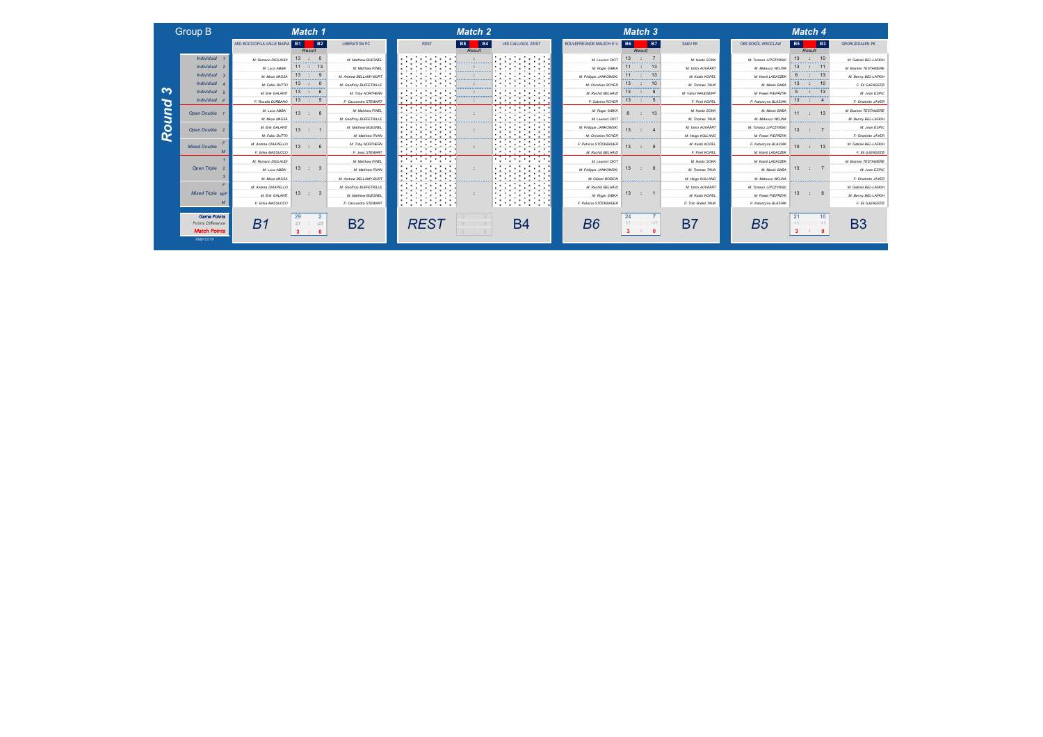### Group B *Match 1 Match 2*

*Round 3*

Round

 $\sim$ 

©MjP2019

|                                                                | ASD BOCCIOFILA VALLE MAIRA B1 | <b>B2</b>                                      | <b>LIBERATION PC</b>                           | <b>B8</b><br><b>REST</b>                                              | LES CAILLOUX, ZEIST                                                                 | BOULEFREUNDE MALSCH E.V. B6 | <b>B7</b>                                   | SAKU PK               | OKS SOKÓL WROCLAW     | <b>B5</b><br><b>B3</b>                      | <b>GRORUDDALEN PK</b>        |
|----------------------------------------------------------------|-------------------------------|------------------------------------------------|------------------------------------------------|-----------------------------------------------------------------------|-------------------------------------------------------------------------------------|-----------------------------|---------------------------------------------|-----------------------|-----------------------|---------------------------------------------|------------------------------|
|                                                                |                               | Result                                         |                                                |                                                                       | Result                                                                              |                             | Result                                      |                       |                       | Result                                      |                              |
| Individual 1                                                   | M: Romano DIGLAUDI            | 13<br>$\cdot$ : 0<br>------------              | M: Matthew BUESNEL                             | the control of the control<br>. .                                     | the control of the con-<br>.                                                        | M: Laurent DIO7<br>.        | 13<br>.                                     | M: Hardo SOKK         | M: Tomasz LIPCZYNSKI  | 13<br>10<br>.                               | M: Gabriel BEL-LAFKII-       |
| Individual 2                                                   | M: Luca ABBA                  | $\therefore$ 13<br><b></b>                     | M: Matthew PINEL<br>.                          |                                                                       | .<br><b><i>Contractor Company</i></b>                                               | M: Roger SIBKA              | 11<br>-13<br>-------------                  | M: Urmo AUVÄÄRT       | M: Mateusz WOJNA<br>. | 13                                          | <b>M: Bastien TESTANIERE</b> |
| Individual 3                                                   | M: Mose NASSA                 | 13<br>.                                        | M: Andrew BELLAMY-BURT                         | . .<br>-----------                                                    | .<br>. .<br>. <b>.</b> .<br>.                                                       | M: Philippe JANKOWSKI       | .                                           | M: Kaido KOPEL        | M: Kamil LADACZEK     | <b>A 4 4 4 6</b>                            | M: Benny BEL-LAFKII          |
| Individual                                                     | M: Fabio DUTTO                | 13<br>$-1$<br><u> Alexandria (matematika e</u> | M: Geoffroy BUFFETRILLE                        | $\blacksquare$<br>$\sim$                                              | .<br>.<br><b>Construction Construction</b>                                          | M: Christian ROYER          | 13<br><u> Alexandria de Alexandria de A</u> | M: Toomas TAUK        | M: Marek BABA         | 13<br><u> Alexandria de Alexandria de A</u> | F: Eli GJENGSTO              |
| Individual 5                                                   | M: Enk GALANTI                | 13<br>.<br>-6<br>-------------                 | M: Toby NORTHERN                               | .                                                                     | .<br>.<br>.                                                                         | M: Rachid BELHAID           | 13<br>.                                     | M: Vahur RAUDSEPP     | M: Pawel PIEPRZYK     | 13<br>.                                     | M: Jean ESPIC                |
| Individual F                                                   | F: Rosella DURBANO            | 13<br>$\therefore$ 5                           | F: Cassandra STEWART                           | .<br>.                                                                | .<br>the control of the control of the                                              | F: Sabrina ROYER            | 13<br>-11<br>$\overline{5}$                 | F: Piret KOPEL        | F: Katarzyna BLASIAK  | 13<br>- 11                                  | F: Charlotte JAYER           |
| Open Double 1                                                  | M: Luca ABBA'                 | 13 <sup>13</sup><br>$\therefore$ 8             | M: Matthew PINEL                               | .<br>.<br>.                                                           | المتحمد والمتحدث والمتحدث                                                           | M: Roger SIBKA              | 13<br>-8                                    | M: Hardo SOKK         | M: Marek BABA         | 13<br>11                                    | M: Bastien TESTANIERE        |
|                                                                | M: Mose NASSA                 | .                                              | M: Geoffroy BUFFETRILLE                        | .                                                                     | the control of the con-                                                             | M: Laurent DIOT             | .                                           | <b>M: Toomas TAUK</b> | M: Mateusz WOJNA      | .                                           | M: Benny BEL-LAFKII-         |
| Open Double 2                                                  | M: Enk GALANTI                | 13 : 1                                         | M: Matthew BUESNEL<br>________________________ | .<br><b>Contract Contract Contract</b><br>.                           | .                                                                                   | M: Philippe JANKOWSKI<br>.  | 13 <sup>1</sup>                             | M: Urmo AUVÄÄRT       | M: Tomasz LIPCZYNSKI  | 13                                          | M: Jean ESPIC                |
|                                                                | M: Fabio DUTTO                | <u> Santa Caracteria (Caracteria e</u>         | M: Matthew RYAN                                | .                                                                     | the contract of the contract of the<br>.<br><b>Alexandria Contractor Contractor</b> | M: Christian ROYER          | a da san an an an an an an an an an         | M: Heigo KULLANG      | M: Pawel PIEPRZYK     | <u> Alexandria de Alexandria de A</u>       | F: Charlotte JAYER           |
| <b>Mixed Double</b>                                            | M: Andrea CHIAPELLO           | 13<br>$\sim$ 100 $\sim$                        | M: Toby NORTHERN                               | .<br>the control of the control of<br>. .                             | .<br>للتستنصيل المتحدث<br>.                                                         | F: Patricia STÖCKBAUER      | 13                                          | M: Kaido KOPEL        | F: Katarzyna BLASIAK  | 10 <sup>1</sup><br>13                       | M: Gabriel BEL-LAFKII-       |
| $\overline{M}$                                                 | F: Enka MASSUCCO              |                                                | F: Jean STEWART                                | <b>Contract Contract Contract Contract</b>                            | .                                                                                   | M: Rachid BELHAID           |                                             | F: Piret KOPEL        | M: Kamil LADACZEK     |                                             | F: Eli GJENGSTO              |
|                                                                | M: Romano DIGLAUDI            |                                                | M: Matthew PINEL                               | the company's company's company's<br>.                                | the company's company's<br>والمتحدث والمتحدث والمتحدث                               | M: Laurent DIOT             |                                             | $M$ : Hardo SOKK      | M: Kamil LADACZEK     |                                             | M: Bastien TESTANIERE        |
| Open Triple 2                                                  | M: Luca ABBA'                 | 13 : 3                                         | M: Matthew RYAN                                | and the company of the                                                | the control of the con-<br><b>Service Contract</b>                                  | M: Phillope JANKOWSKI       | 13<br><b>COLLECTION</b><br>$\mathbf{0}$     | M: Toomas TAUK        | M: Marek BABA         | 13<br>$\therefore$ 7                        | M: Jean ESPIC                |
|                                                                | M: Mose NASSA                 | <b><i><u>Programmation Contractor</u></i></b>  | M: Andrew BELLAMY-BURT                         | .                                                                     | the control of the control of<br>.<br><b><i>Construction Construction</i></b>       | M: Gilbert BODEIN           | <b>Management American State</b>            | M: Heigo KULLANG      | M: Mateusz WOJNA      | <b>Management Communication</b>             | F: Charlotte JAYER           |
|                                                                | M: Andrea CHIAPELLO           |                                                | M: Geoffroy BUFFETRILLE                        | .<br>the company's company's company's<br>المستحيل والمتحدث           | .<br>the company's company's company's company's<br>والموارد والمتوارد والمتوارد    | M: Rachid BELHAID           |                                             | M: Urmo AUVÄÄRT       | M: Tomasz LIPCZYNSKI  |                                             | M: Gabriel BEL-LAFKII-       |
| <b>Mixed Triple M/F</b>                                        | M: Folk GALANTI               | 13 : 3                                         | M: Matthew BUESNEL                             | .<br>the control of the control of the<br><b>Service Construction</b> | .<br>the company's company's company's<br><b>Service Controller Control</b>         | M: Roger SIBKA              | 13<br>$-10-$                                | M: Kaido KOPEL        | M: Pawel PIEPRZYK     | 13<br>8<br><b>Contract</b>                  | M: Benny BEL-LAFKII-         |
| $\overline{M}$                                                 | F: Enka MASSUCCO              |                                                | F: Cassandra STEWART                           | .<br>.                                                                | .<br>.                                                                              | F: Patricia STÖCKBAUER      |                                             | F: Thin Gretel TAUK   | F: Katarzyna BLASIAK  |                                             | F: Eli GJENGSTO              |
| <b>Game Points</b><br>Points Difference<br><b>Match Points</b> | B1                            | 29<br>$-27$<br>27                              | <b>B2</b>                                      | RES1                                                                  | B4                                                                                  | B6                          | 17<br>$-17$                                 | B7                    | B5                    | 10 <sup>1</sup><br>21<br>11<br>$-11$        | B3                           |

|      | ASD BOCCIOFILA VALLE MAIRA B1 | <b>B2</b><br>Result                                      | <b>LIBERATION PC</b>                           | <b>B8</b><br><b>REST</b><br>Result                                                                                                                                                                                                   | <b>B4</b><br>LES CAILLOUX, ZEIST                                       | <b>BOULEFREUNDE MALSCH E.V</b> | <b>B7</b><br><b>B6</b><br>Result                                                                                                                                                                                                     | SAKU PK             | OKS SOKÓL WROCLAW    | <b>B5</b><br><b>B3</b><br>Result     | <b>GRORUDDALEN PK</b>  |
|------|-------------------------------|----------------------------------------------------------|------------------------------------------------|--------------------------------------------------------------------------------------------------------------------------------------------------------------------------------------------------------------------------------------|------------------------------------------------------------------------|--------------------------------|--------------------------------------------------------------------------------------------------------------------------------------------------------------------------------------------------------------------------------------|---------------------|----------------------|--------------------------------------|------------------------|
|      | M: Romano DIGLAUDI            | 13                                                       | M: Matthew BUESNEL                             | .                                                                                                                                                                                                                                    | the company's company's                                                | M: Laurent DIO7                | 13                                                                                                                                                                                                                                   | M: Hardo SOKK       | M: Tomasz LIPCZYNSKI | 10<br>13                             | M: Gabriel BEL-LAFKII- |
|      | M: Luca ABBA'                 | -13                                                      | M: Matthew PINEL                               |                                                                                                                                                                                                                                      |                                                                        | M: Roger SIBKA                 |                                                                                                                                                                                                                                      | M: Urmo AUVÄÄRT     | M: Mateusz WOJNA     | 13                                   | M: Bastien TESTANIERE  |
|      | M: Mose NASSA                 | 13                                                       | M: Andrew BELLAMY-BURT                         |                                                                                                                                                                                                                                      |                                                                        | M: Phillope JANKOWSKI          | .                                                                                                                                                                                                                                    | M: Kaido KOPEL      | M: Kamil LADACZEK    |                                      | M: Benny BEL-LAFKII-   |
|      | M: Fabio DUTTO                | 13<br><u>aanaanaanaanaa</u>                              | M: Geoffroy BUFFETRILLE                        |                                                                                                                                                                                                                                      |                                                                        | M: Christian ROYER             | 13 <sup>13</sup><br>,,,,,,,,,,,,,,,,,,                                                                                                                                                                                               | M: Toomas TAUK      | M: Marek BABA        | 13<br>---------------                | F: Eli GJENGSTO        |
|      | M: Enk GALANTI                | 13<br>6<br>.                                             | M: Toby NORTHERN                               |                                                                                                                                                                                                                                      |                                                                        | M: Rachid BELHAID              | 13                                                                                                                                                                                                                                   | M: Vahur RAUDSEPP   | M: Pawel PIEPRZYK    | 5                                    | M: Jean ESPIC          |
|      | F: Rosella DURBANO            | 13<br>$\therefore$ 5                                     | F: Cassandra STEWART                           |                                                                                                                                                                                                                                      |                                                                        | F: Sabrina ROYER               | 13                                                                                                                                                                                                                                   | F: Piret KOPEL      | F: Katarzyna BLASIAK | 13                                   | F: Charlotte JAYER     |
|      | M: Luca ABBA'                 | 13                                                       | M: Matthew PINEL                               |                                                                                                                                                                                                                                      | <b><i><b><i>BERRY BRANCH</i></b></i></b><br><b>Service Controllers</b> | M: Roger SIBKA                 |                                                                                                                                                                                                                                      | M: Hardo SOKK       | M: Marek BABA        | 13 <sub>1</sub><br>11<br><b>STEP</b> | M: Bastien TESTANIERE  |
|      | M: Mose NASSA                 | .                                                        | M: Geoffroy BUFFETRILLE                        | . .                                                                                                                                                                                                                                  | .                                                                      | M: Laurent DIOT                | .                                                                                                                                                                                                                                    | M: Toomas TAUK      | M: Mateusz WOJNA     | .                                    | M: Benny BEL-LAFKII-   |
|      | M: Enk GALANTI                | $13$ :                                                   | M: Matthew BLESNEL<br>________________________ |                                                                                                                                                                                                                                      |                                                                        | M: Philippe JANKOWSKI          | 13                                                                                                                                                                                                                                   | M: Urmo AUVÄÄRT     | M: Tomasz LIPCZYNSKI | $13$ :                               | M: Jean ESPIC          |
|      | M: Fabio DUTTO                | <b><i><u>Programmation</u></i></b>                       | M: Matthew RYAN                                | <u> Alexandria de Alexandria de Alexandria de Alexandria de Alexandria de Alexandria de Alexandria de Alexandria </u>                                                                                                                |                                                                        | M: Christian ROYER             | ,,,,,,,,,,,,,,,,,,,,                                                                                                                                                                                                                 | M: Heigo KULLANG    | M: Pawel PIEPRZYK    | ,,,,,,,,,,,,,,,,,,,,,,               | F: Charlotte JAYEF     |
|      | M: Andrea CHIAPELLO           | 13<br>-6                                                 | M: Toby NORTHERN                               |                                                                                                                                                                                                                                      | .<br>.<br>and a straight and                                           | F: Patricia STÖCKBAUER         | 13 <sup>13</sup>                                                                                                                                                                                                                     | M: Kaido KOPEL      | F: Katarzyna BLASIAK | 10 <sup>10</sup>                     | M: Gabriel BEL-LAFKII- |
|      | F: Enka MASSUCCO              |                                                          | F: Jean STEWART                                |                                                                                                                                                                                                                                      | .<br>.                                                                 | M: Rachid BELHAID              |                                                                                                                                                                                                                                      | F: Piret KOPEL      | M: Kamil LADACZEK    |                                      | F: Eli GJENGSTO        |
|      | M: Romano DIGLAUDI            |                                                          | M: Matthew PINEL                               |                                                                                                                                                                                                                                      | .<br>.                                                                 | M: Laurent DIOT                |                                                                                                                                                                                                                                      |                     | M: Kamil LADACZEK    |                                      | M. Bastien TESTANERE   |
|      | M: Luca ABBA'                 | 13 : 3                                                   | M: Matthew RYAN                                |                                                                                                                                                                                                                                      | .<br>.<br>contract of the contract of                                  | M: Philippe JANKOWSKI          | 13<br>$\overline{\phantom{0}}$<br>$\sim$ 100 $\pm$                                                                                                                                                                                   | M: Toomas TAUK      | M: Marek BABA        | 13<br>$\therefore$ 7                 | M: Jean ESPIC          |
|      | M: Mose NASSA                 | <b><i><u>Programmation Community (Community)</u></i></b> | M: Andrew BELLAMY-BURT                         | <b><i>CONTRACTORS CONTRACTORS</i></b>                                                                                                                                                                                                | .                                                                      | M: Gilbert BODEIN              | <u>and a company of the company of the company of the company of the company of the company of the company of the company of the company of the company of the company of the company of the company of the company of the compa</u> | M: Heigo KULLANG    | M: Mateusz WOJNA     | <b>Service Advisory Concernsion</b>  | F: Charlotte JAYEF     |
|      | M: Andrea CHIAPELLO           |                                                          | M: Geoffroy BUFFETRILLE                        | .                                                                                                                                                                                                                                    | .                                                                      | M: Rachid BELHAID              |                                                                                                                                                                                                                                      | M: Urmo AUVÄÄRT     | M: Tomasz LIPCZYNSKI |                                      | M: Gabriel BEL-LAFKII- |
|      | M: Enk GALANTI                | 13 : 3                                                   | M: Matthew BLESNEL                             | . .<br><b>STATE</b><br>.                                                                                                                                                                                                             | .<br><b>Contract Contract</b><br><b>STATISTICS</b>                     | M: Roger SIBKA                 | 13                                                                                                                                                                                                                                   | M: Kaido KOPEL      | M: Pawel PIEPRZYK    | 13<br>-17                            | M: Benny BEL-LAFKIH    |
|      | F: Enka MASSUCCO              |                                                          | F: Cassandra STEWART                           | an sa bagaim na bagaim na bagaim na bagaim na bagaim na bagaim na bagaim na bagaim na bagaim na bagaim na baga<br>Tagaim na bagaim na bagaim na bagaim na bagaim na bagaim na bagaim na bagaim na bagaim na bagaim na bagaim na<br>. | the company of the company<br>.                                        | F: Patricia STÖCKBAUER         |                                                                                                                                                                                                                                      | F: Thin Gretel TAUK | F: Katarzyna BLASIAK |                                      | F: Eli GJENGSTO        |
|      |                               |                                                          |                                                |                                                                                                                                                                                                                                      |                                                                        |                                |                                                                                                                                                                                                                                      |                     |                      |                                      |                        |
| ice. | R1                            | $-27$<br>27                                              | R <sub>2</sub>                                 | RES.                                                                                                                                                                                                                                 | R4                                                                     | Rĥ                             |                                                                                                                                                                                                                                      | R7                  | R5                   | $-11$                                | RЗ                     |

### *Match 3 Match 4*

| BOULEFREUNDE MALSCH E.V. | <b>B6</b> | <b>B7</b> |                  | SAKU PK             | OKS SOKÓL WROCLAW    | <b>B5</b> |     |
|--------------------------|-----------|-----------|------------------|---------------------|----------------------|-----------|-----|
|                          |           | Result    |                  |                     |                      |           | Res |
| M: Laurent DIOT          | 13        |           | $\overline{7}$   | M: Hardo SOKK       | M: Tomasz LIPCZYNSKI | 13        |     |
| M: Roger SIBKA           | 11        |           | 13               | M: Urmo AUVÄÄRT     | M: Mateusz WOJNA     | 13        |     |
| M: Phillope JANKOWSKI    | 11        |           | 13               | M: Kaido KOPEL      | M: Kamil LADACZEK    | 6         |     |
| M: Christian ROYER       | 13        |           | 10               | M: Toomas TAUK      | M: Marek BABA        | 13        |     |
| M: Rachid BELHAID        | 13        |           | 8                | M: Vahur RAUDSEPP   | M: Pawel PIEPRZYK    | 5         |     |
| F: Sabrina ROYER         | 13        |           | 5                | F: Piret KOPEL      | F: Katarzyna BLASIAK | 13        |     |
| M: Roger SIBKA           | 8         |           | 13               | M: Hardo SOKK       | M: Marek BABA        | 11        |     |
| M: Laurent DIOT          |           |           |                  | M: Toomas TAUK      | M: Mateusz WOJNA     |           |     |
| M: Philippe JANKOWSKI    | 13        |           | $\boldsymbol{A}$ | M: Urmo AUVÄÄRT     | M: Tomasz LIPCZYNSKI | 13        |     |
| M: Christian ROYER       |           |           |                  | M: Heigo KULLANG    | M: Pawel PIEPRZYK    |           |     |
| F: Patricia STÖCKBAUER   | 13        |           | 9                | M: Kaido KOPEL      | F: Katarzyna BLASIAK | 10        |     |
| M: Rachid BELHAID        |           |           |                  | F: Piret KOPEL      | M: Kamil LADACZEK    |           |     |
| M: Laurent DIOT          |           |           |                  | M: Hardo SOKK       | M: Kamil LADACZEK    |           |     |
| M: Phillope JANKOWSKI    | 13        |           | $\mathbf 0$      | M: Toomas TAUK      | M: Marek BABA        | 13        |     |
| M: Gilbert BODEIN        |           |           |                  | M: Heigo KULLANG    | M: Mateusz WOJNA     |           |     |
| M: Rachid BELHAID        |           |           |                  | M: Urmo AUVÄÄRT     | M: Tomasz LIPCZYNSKI |           |     |
| M: Roger SIBKA           | 13        |           | $\overline{1}$   | M: Kaido KOPEL      | M: Pawel PIEPRZYK    | 13        |     |
| F: Patricia STÖCKBAUER   |           |           |                  | F: Thin Gretal TAUK | F: Katarzyna BLASIAK |           |     |



| m            | .<br>F: Piret KOPEL             | M: Kamil LADACZEK                  |                |  |
|--------------|---------------------------------|------------------------------------|----------------|--|
| $\mathbf{0}$ | M: Hardo SOKK<br>M: Toomas TAUK | M: Kamil LADACZEK<br>M: Marek BABA | 13             |  |
|              | M: Heigo KULLANG                | M: Mateusz WOJNA                   |                |  |
|              | M: Urmo AUVÄÄRT                 | M: Tomasz LIPCZYNSKI               |                |  |
|              |                                 |                                    | $\overline{A}$ |  |





|  | Match 4 |  |  |
|--|---------|--|--|
|  |         |  |  |

|        | <b>B7</b>      | Saku PK             |  | OKS SOKOL WROCLAW    | в5 |        | вз             | <b>GRORUDDALEN PK</b> |
|--------|----------------|---------------------|--|----------------------|----|--------|----------------|-----------------------|
| Result |                |                     |  |                      |    | Result |                |                       |
|        | $\overline{7}$ | M: Hardo SOKK       |  | M: Tomasz LIPCZYNSKI | 13 |        | 10             | M: Gabriel BEL-LAFKIH |
|        | 13             | M: Urmo AUVÄÄRT     |  | M: Mateusz WOJNA     | 13 | ċ      | 11             | M: Bastien TESTANIERE |
|        | 13             | M: Kaido KOPEL      |  | M: Kamil LADACZEK    | 6  |        | 13             | M: Benny BEL-LAFKIH   |
|        | 10             | M: Toomas TAUK      |  | M: Marek BABA        | 13 |        | 10             | F: Eli GJENGSTØ       |
|        | $\mathbf{B}$   | M: Vahur RAUDSEPP   |  | M: Pawel PIEPRZYK    | 5  |        | 13             | M: Jean ESPIC         |
|        | 5              | F: Piret KOPEL      |  | F: Katarzyna BLASIAK | 13 |        | $\overline{4}$ | F: Charlotte JAYER    |
|        | 13             | M: Hardo SOKK       |  | M: Marek BABA        | 11 |        | 13             | M: Bastien TESTANIERE |
|        |                | M: Toomas TAUK      |  | M: Mateusz WOJNA     |    |        |                | M: Benny BEL-LAFKIH   |
|        | $\Delta$       | M: Urmo AUVÄÄRT     |  | M: Tomasz LIPCZYNSKI | 13 |        | 7              | M: Jean ESPIC         |
|        |                | M: Heigo KULLANG    |  | M: Pawel PIEPRZYK    |    |        |                | F: Charlotte JAYER    |
|        | 9              | M: Kaido KOPEL      |  | F: Katarzyna BLASIAK | 10 |        | 13             | M: Gabriel BEL-LAFKIH |
|        |                | F: Piret KOPEL      |  | M: Kamil LADACZEK    |    |        |                | F: Eli GJENGSTØ       |
|        |                | M: Hardo SOKK       |  | M: Kamil LADACZEK    |    |        |                | M: Bastien TESTANIERE |
|        | $\mathbf 0$    | M: Toomas TAUK      |  | M: Marek BABA        | 13 |        | $\overline{7}$ | M: Jean ESPIC         |
|        |                | M: Heigo KULLANG    |  | M: Mateusz WOJNA     |    |        |                | F: Charlotte JAYER    |
|        |                | M: Urmo AUVÄÄRT     |  | M: Tomasz LIPCZYNSKI |    |        |                | M: Gabriel BEL-LAFKIH |
|        | 1              | M: Kaido KOPEL      |  | M: Pawel PIEPRZYK    | 13 |        | 8              | M: Benny BEL-LAFKIH   |
|        |                | F: Thin Gretal TAUK |  | F: Katarzyna BLASIAK |    |        |                | F: Eli GJENGSTØ       |
|        |                |                     |  |                      |    |        |                |                       |

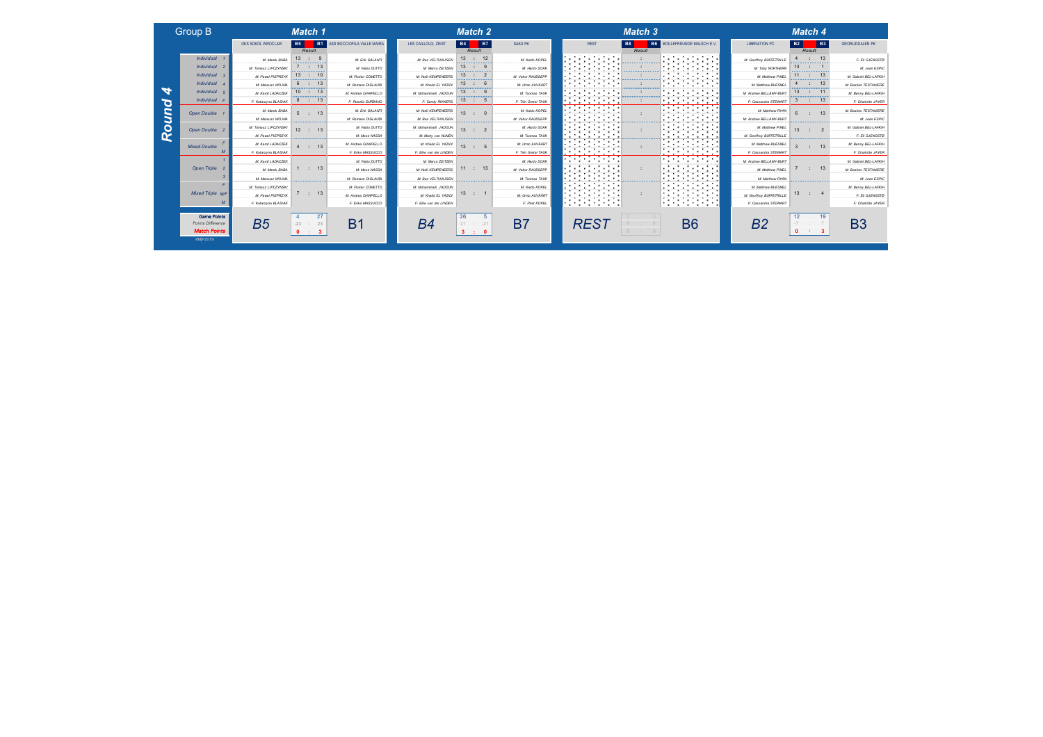| Group B |  |  |
|---------|--|--|
|         |  |  |

*Match Points* ©MjP2019

| $-$                     |                      | --------                               |                                         |                                  |                                        |                                    |                                                                      | --------                                   |                                                                                        |                         | --------                                                                                                                                                                                                                                         |                              |
|-------------------------|----------------------|----------------------------------------|-----------------------------------------|----------------------------------|----------------------------------------|------------------------------------|----------------------------------------------------------------------|--------------------------------------------|----------------------------------------------------------------------------------------|-------------------------|--------------------------------------------------------------------------------------------------------------------------------------------------------------------------------------------------------------------------------------------------|------------------------------|
|                         | OKS SOKÓL WROCLAW    | l B5<br><b>B1</b><br>Result            | ASD BOCCIOFILA VALLE MAIRA              | <b>B4</b><br>LES CAILLOUX, ZEIST | <b>B7</b><br>Result                    | SAKU PK                            | <b>REST</b>                                                          | <b>B8</b><br>Result                        | <b>B6</b> BOULEFREUNDE MALSCH E.V.                                                     | <b>LIBERATION PC</b>    | <b>B2</b><br><b>B3</b><br>Result                                                                                                                                                                                                                 | <b>GRORUDDALEN PK</b>        |
| Individual              | M: Marek BABA<br>.   | $13$ :<br>.                            | M: Erik GALANTI                         | M: Bas VELTHUIJSEN               | 13 : 12<br>                            | M: Kaido KOPEL<br>. <del>. .</del> | the company of the company<br>.                                      |                                            | and the company of the company<br>.<br>.                                               | M: Geoffroy BUFFETRILLE | .                                                                                                                                                                                                                                                | F: Eli GJENGSTO              |
| Individual              | M: Tomasz LIPCZYNSKI |                                        | M: Fabio DUTTO                          | 13<br>M: Marco ZE(TZE)           | .                                      | M: Hardo SOKK                      | .                                                                    |                                            | .                                                                                      | M: Toby NORTHERN        | 13<br>.                                                                                                                                                                                                                                          | M: Jean ESPIC                |
| Individual              | M: Pawel PIEPRZYK    | 13<br><b></b>                          | M: Florian COMETTO<br>.                 | 13<br>M: Noël KEMPENEERS         |                                        | M: Vahur RAUDSEPP                  | .<br>.                                                               |                                            | the contract of the contract of<br>. .<br>.<br>.<br>.                                  | M: Matthew PINEL        | 11<br>.                                                                                                                                                                                                                                          | M: Gabriel BEL-LAFKII-       |
| Individual              | M: Mateusz WOJNA     | 6<br>-13                               | M: Romano DIGLAUDI                      | 13<br>M: Khaild EL YAZIDI        | ,,,,,,,,,,,,,,,,,                      | M: Urmo AUVÄÄRT                    | .                                                                    | <b><i><u>Andrew Armenican Army</u></i></b> | $\sim$<br>. .                                                                          | M: Matthew BUESNEL      | -13<br>,,,,,,,,,,,,,,,,,,,,,                                                                                                                                                                                                                     | <b>M: Bastien TESTANIERE</b> |
| Individual              | M: Kamil LADACZEK    | 13<br>$10$ :<br>.                      | M: Andrea CHIAPELLO                     | 13<br>M: Mohammadi JADOUN        | $\sim$<br>.                            | M: Toomas TAUK                     | .                                                                    |                                            | .<br>.                                                                                 | M: Andrew BELLAMY-BURT  | 11<br>13<br>.                                                                                                                                                                                                                                    | M: Benny BEL-LAFKII-         |
| Individual              | F: Katarzyna BLASIAK | 8<br>$\mathcal{L}$<br>- 13             | F: Rosella DURBANO                      | 13<br>F: Sandy RIKKERS           | . 5                                    | F: Triin Gretel TAUK               | .<br>.                                                               |                                            | .<br>.                                                                                 | F: Cassandra STEWART    | -13                                                                                                                                                                                                                                              | F: Charlotte JAYER           |
| Open Double             | M: Marek BABA        | 5:                                     | M: Erik GALANTI                         | M: Noël KEMPENEERS<br>13         | <b>COLL</b>                            | M: Kaido KOPEL                     | .<br>.                                                               |                                            | .<br>.<br>.                                                                            | M: Matthew RYAN         |                                                                                                                                                                                                                                                  | <b>M: Bastien TESTANIERE</b> |
|                         | M: Mateusz WOJNA     | .                                      | M: Romano DIGLAUDI                      | M: Bas VELTHUIJSEN               | .                                      | M: Vahur RAUDSEPP                  | .<br>.                                                               |                                            | .<br>.                                                                                 | M: Andrew BELLAMY-BURT  | .                                                                                                                                                                                                                                                | M: Jean ESPIC                |
| Open Double             | M: Tomasz LIPCZYNSKI | 12<br>$\mathcal{L}$<br>-13             | M: Fabio DUTTO<br>--------------------- | M: Mohammadi JADOUN<br>13        | $\sim$                                 | M: Hardo SOKK                      | .<br>.<br>and the company of the company of the                      |                                            | .<br>.<br>the contract of the contract of the con-<br>.                                | M: Matthew PINEL        | 13 <sup>1</sup>                                                                                                                                                                                                                                  | M: Gabriel BEL-LAFKII-       |
|                         | M: Pawel PIEPRZYK    | ---------------                        | M: Mose NASSA                           | M: Marty van NJNEN               | <u> a san an an an an an an an an </u> | M: Toomas TAUK                     | the company's company's company's<br>.                               | <b>Construction Construction</b>           | .                                                                                      | M: Geoffroy BUFFETRILLE | <u> Alexandria de Alexandria de A</u>                                                                                                                                                                                                            | F: Eli GJENGSTO              |
| <b>Mixed Double</b>     | M: Kamil LADACZEK    | 4 : 13                                 | M: Andrea CHIAPELLO                     | M: Khalid EL YAZIDI<br>13        | $\therefore$ 5                         | M: Urmo AUVÄÄRT                    | .<br>the control of the control of the<br>.                          |                                            | .<br>the contract of the contract of the<br>and the company of the company<br>.        | M: Matthew BUESNEL      | 13<br><b>Carlos</b>                                                                                                                                                                                                                              | M: Benny BEL-LAFKII-         |
|                         | F: Katarzyna BLASIAK |                                        | F: Erika MASSUCCO                       | F: Elke van der LINDEN           |                                        | F: Thin Gretel TAUK                | .                                                                    |                                            | .                                                                                      | F: Cassandra STEWART    |                                                                                                                                                                                                                                                  | F: Charlotte JAYER           |
|                         | M. Kami LADACZEK     |                                        | M. Fabio DUTTO                          | M: Marco ZEITZEN                 |                                        | M. Hardo SOKK                      | .<br>.<br>.                                                          |                                            | and the company of the company<br>.<br>. <u>.</u>                                      | M: Andrew BELLAMY-BURT  |                                                                                                                                                                                                                                                  | M. Gabriel BEL-LAFKIH        |
| Open Triple             | M: Marek BABA        | 1 : 13                                 | M: Mose NASSA                           | M: Noël KEMPENEERS               | 11 : 13                                | M: Vahyr RAUDSEPP                  | . .<br>.<br>.<br><b>CONTRACTORS CONTRACTORS</b>                      |                                            | .<br>.                                                                                 | <b>M: Matthew PINEI</b> | 13<br><b>COLLEGE</b>                                                                                                                                                                                                                             | <b>M: Bastien TESTANIERE</b> |
|                         | M: Mateusz WOJNA     | <u>and and an operation of the sta</u> | M: Romano DIGLAUDI                      | M: Bas VELTHUIJSEN               | <b>Management Commence</b>             | M: Toomas TAUK                     | .<br>.<br>. .<br><b>Contract Contract Contract Contract Contract</b> |                                            | .                                                                                      | M: Matthew RYAN         | <b><i><u>Programmation Control Control Control Control Control Control Control Control Control Control Control Control Control Control Control Control Control Control Control Control Control Control Control Control Control Contr</u></i></b> | M: Jean ESPIC                |
|                         | M: Tomasz LIPCZYNSKI |                                        | M: Florian COMETTO                      | M: Mohammadi JADOUN              |                                        | M: Kaido KOPEL                     | .<br>والمستحيل والمستحير والمتحدث                                    |                                            | .<br>. .<br>the contract of the contract of the<br>and the contract of the contract of | M: Matthew BUESNEL      |                                                                                                                                                                                                                                                  | M: Benny BEL-LAFKII          |
| <b>Mixed Triple M/F</b> | M: Pawel PIEPRZYK    | 7 : 13                                 | M: Andrea CHIAPELLO                     | M: Khalid EL YAZIDI              | 13 : 1                                 | M: Urmo AUVÄÄRT                    | .<br>the contract of the contract of the                             |                                            | .<br>the contract of the contract of the<br>an an am an am an an A                     | M: Geoffroy BUFFETRILLE | 13<br><b>Carl Control</b>                                                                                                                                                                                                                        | F: Eli GJENGSTO              |
|                         | F: Katarzyna BLASIAK |                                        | F: Erika MASSUCCO                       | F: Elke van der LINDEN           |                                        | F: Piret KOPEL                     | an an an am an an an an<br>.                                         |                                            | .                                                                                      | F: Cassandra STEWART    |                                                                                                                                                                                                                                                  | F: Charlotte JAYER           |
|                         |                      |                                        |                                         |                                  |                                        |                                    |                                                                      |                                            |                                                                                        |                         |                                                                                                                                                                                                                                                  |                              |

| Group B                                                        |                      | Match 1                                       |                            |                        | Match 2                                             |                      |                                                                            | Match 3                            |                                                                                                                                                                                                                                                             |                         | Match 4                                   |                              |
|----------------------------------------------------------------|----------------------|-----------------------------------------------|----------------------------|------------------------|-----------------------------------------------------|----------------------|----------------------------------------------------------------------------|------------------------------------|-------------------------------------------------------------------------------------------------------------------------------------------------------------------------------------------------------------------------------------------------------------|-------------------------|-------------------------------------------|------------------------------|
|                                                                | OKS SOKÓL WROCLAW    | B5  <br><b>B1</b><br>Result                   | ASD BOCCIOFILA VALLE MAIRA | LES CAILLOUX, ZEIST    | B7<br>  B4  <br>Result                              | SAKU PK              | <b>REST</b>                                                                | <b>B6</b><br><b>B8</b><br>Result   | BOULEFREUNDE MALSCH E.V.                                                                                                                                                                                                                                    | <b>LIBERATION PC</b>    | <b>B3</b><br>  B2  <br>Result             | <b>GRORUDDALEN PK</b>        |
| Individual 1                                                   | M: Marek BABA        | $13$ :                                        | M: Erik GALANTI            | M: Bas VELTHUIJSEN     | 13 : 12                                             | M: Kaido KOPEL       | <b>Service Control</b>                                                     |                                    | <b>Contract Contract</b>                                                                                                                                                                                                                                    | M: Geoffroy BUFFETRILL  | : 13                                      | F: Eli GJENGSTO              |
| Individual 2                                                   | M: Tomasz LIPCZYNSKI | 13                                            | M: Fabio DUTTO             | M: Marco ZEITZEN       | 13<br>                                              | M: Hardo SOKK        | <b>Contract Contract</b><br>.                                              |                                    | and the company of the company<br>The continues of the continues of the                                                                                                                                                                                     | M: Toby NORTHERN        | 13                                        | M: Jean ESPIC                |
| Individual 3                                                   | M: Pawel PIEPRZYK    | 10<br>13                                      | M: Florian COMETTO         | M: Noël KEMPENEERS     | 13<br>.                                             | M: Vahur RAUDSEPP    | .                                                                          | .                                  | .<br>.                                                                                                                                                                                                                                                      | M: Matthew PINEL<br>.   | 11<br>.                                   | M: Gabriel BEL-LAFKII-       |
| Individual                                                     | M: Mateusz WOJNA     | 6 : 13                                        | M: Romano DIGLAUDI         | M: Khaild EL YAZID     | $13$ :<br>-------------                             | M: Umo AUVÄÄRT       | .                                                                          | <b><i>Construction Company</i></b> | the contract of the contract of<br>.                                                                                                                                                                                                                        | M: Matthew BUESNEL      | 13<br>,,,,,,,,,,,,,,,,,,,,,               | <b>M: Bastien TESTANIERE</b> |
| Individual                                                     | M: Kamil LADACZEK    | 10 : 13                                       | M: Andrea CHIAPELLO        | M: Mohammadi JADOUN    | $13$ :                                              | M: Toomas TAUK       | .<br>the company's company's company's<br>. <b>.</b>                       |                                    | .<br>the contract of the contract of<br>.                                                                                                                                                                                                                   | M: Andrew BELLAMY-BURT  | 13<br>11<br>.                             | M: Benny BEL-LAFKII-         |
| Individual                                                     | F: Katarzyna BLASIAK | 8 : 13                                        | F: Rosella DURBANO         | F: Sandy RIKKERS       | 13 : 5                                              | F: Triin Gretel TAUK | .<br>.                                                                     |                                    | .<br>the company of the company of                                                                                                                                                                                                                          | F: Cassandra STEWART    | 13<br>з                                   | F: Charlotte JAYEF           |
| Open Double                                                    | M: Marek BABA        | 13<br>5:                                      | M: Erik GALANTI            | M: Noël KEMPENEERS     | 13                                                  | M: Kaido KOPEL       | .<br>.<br>.                                                                |                                    | <u> The Communication of the Communication of the Communication of the Communication of the Communication of the Communication of the Communication of the Communication of the Communication of the Communication of the Commun</u><br>المتستستين والمتحدث | M: Matthew RYAN         | 13 <sup>1</sup>                           | M: Bastien TESTANIERE        |
|                                                                | M: Mateusz WOJNA     | .                                             | M: Romano DIGLAUDI         | M: Bas VELTHUIJSEN     | .                                                   | M: Vahur RAUDSEPP    | the company of the com-                                                    |                                    | the company of the company<br>the contract of the contract of the contract of                                                                                                                                                                               | M: Andrew BELLAMY-BURT  | .                                         | M: Jean ESPIC                |
| Open Double                                                    | M: Tomasz LIPCZYNSKI | $12$ :<br>13                                  | M: Fabio DUTTO             | M: Mohammadi JADOUN    | 13<br>- 2<br>TE.                                    | M: Hardo SOKK        |                                                                            |                                    | .<br>the contract of the contract of the                                                                                                                                                                                                                    | M: Matthew PINEL        | 13                                        | M: Gabriel BEL-LAFKII        |
|                                                                | M: Pawel PIEPRZYK    | <u>a manazara a manaza</u>                    | M: Mose NASSA              | M: Marty van NUNEN     | <u>ananananananana</u>                              | M: Toomas TAUK       | .<br>the contract of the contract of<br>.                                  |                                    | .                                                                                                                                                                                                                                                           | M: Geoffroy BUFFETRILLE | <u> a concerta de la concerta de la c</u> | F: Eli GJENGSTO              |
| <b>Mixed Double</b>                                            | M: Kamil LADACZEK    | 4 : 13                                        | M: Andrea CHIAPELLO        | M: Khaid EL YAZIDI     | 13 : 5                                              | M: Umo AUVÄÄRT       | the control of the control of the<br>. <b>.</b><br>.                       |                                    | .<br>a de la construcción de                                                                                                                                                                                                                                | M: Matthew BUESNEL      | 13<br>$-1$                                | M: Benny BEL-LAFKIH          |
|                                                                | F: Katarzyna BLASIAK |                                               | F: Erika MASSUCCO          | F: Elke van der LINDEN |                                                     | F: Thin Gretel TAUK  | .                                                                          |                                    | <b>Contract Contract Contract</b>                                                                                                                                                                                                                           | F: Cassandra STEWART    |                                           | F: Charlotte JAYER           |
|                                                                | M: Kamil LADACZEK    |                                               | M: Fabio DUTTO             | M: Marco ZEITZEN       |                                                     | $M$ Hardo, SOKK      | the company's company's company's<br>.                                     |                                    | <b>Experience</b>                                                                                                                                                                                                                                           | M: Andrew BELLAMY-BURT  |                                           | M: Gabriel BEL-LAFKIH        |
| Open Triple                                                    | M: Marek BABA        | $\therefore$ 13                               | M: Mose NASSA              | M: Noël KEMPENEERS     | 11 : 13                                             | M: Vahur RAUDSEPP    | .<br>the company's company's com-                                          |                                    | the company of the company                                                                                                                                                                                                                                  | M: Matthew PINEL        | : 13                                      | M: Bastien TESTANIERE        |
|                                                                | M: Mateusz WOJNA     | <u>in mensuran menganan </u>                  | M: Romano DIGLAUDI         | M: Bas VELTHUIJSEN     | ,,,,,,,,,,,,,,,,,,,                                 | M: Toomas TAUK       | the contract of the contract of<br>.<br>.                                  |                                    | the company's company's<br>the company of the company of<br>.                                                                                                                                                                                               | M: Matthew RYAN         | ,,,,,,,,,,,,,,,,,,,,,,                    | M: Jean ESPIC                |
|                                                                | M: Tomasz LIPCZYNSKI |                                               | M: Florian COMETTO         | M: Mohammadi JADOUN    |                                                     | M: Kaido KOPEL       | .<br>the contract of the contract of the<br>والمستحقق والمتحاولات والمتحدث |                                    | .<br>the control of the control of the<br>المستحدث والمتحدث                                                                                                                                                                                                 | M: Matthew BUESNEL      |                                           | M: Benny BEL-LAFKII-         |
| <b>Mixed Triple M/F</b>                                        | M: Pawel PIEPRZYK    | 7:13                                          | M: Andrea CHIAPELLO        | M: Khalid EL YAZIDI    | $13$ :                                              | M: Urmo AUVÄÄRT      | .<br>the contract of the contract of the                                   |                                    | .                                                                                                                                                                                                                                                           | M: Geoffroy BUFFETRILLE | 13                                        | F: Eli GJENGSTO              |
|                                                                | F: Katarzyna BLASIAK |                                               | F: Erika MASSUCCO          | F: Elke van der LINDEN |                                                     | F: Piret KOPEL       |                                                                            |                                    | .                                                                                                                                                                                                                                                           | F: Cassandra STEWART    |                                           | F: Charlotte JAYER           |
| <b>Game Points</b><br>Points Difference<br><b>Match Points</b> | B <sub>5</sub>       | 27<br>$-23$<br>23<br>$\sim$<br>$\therefore$ 3 | B1                         | B4                     | 26<br>$-21$<br>21<br>$\therefore$ 0<br>$\mathbf{3}$ | <b>B7</b>            | <b>REST</b>                                                                |                                    | <b>B6</b>                                                                                                                                                                                                                                                   | B2                      | 19                                        | B <sub>3</sub>               |

| $\overline{2}$                                   |                                                                                                                                   |                          | <b>Match 3</b>                        |                                                                                                                                                            | Match 4                  |        |                            |
|--------------------------------------------------|-----------------------------------------------------------------------------------------------------------------------------------|--------------------------|---------------------------------------|------------------------------------------------------------------------------------------------------------------------------------------------------------|--------------------------|--------|----------------------------|
| $\overline{7}$                                   | <b>SAKU PK</b>                                                                                                                    | <b>B8</b><br><b>REST</b> | <b>B6</b><br>BOULEFREUNDE MALSCH E.V. | <b>LIBERATION PC</b>                                                                                                                                       | <b>B2</b>                |        | <b>B3</b>                  |
| $\overline{\mathbf{c}}$<br>9<br>2<br>6<br>9<br>5 | M: Kaido KOPEL<br>M: Hardo SOKK<br>M: Vahur RAUDSEPP<br>M: Umo AUVÄÄRT<br>M: Toomas TAUK<br>F: Thin Gretel TAUK<br>M: Kaido KOPEL |                          | Result                                | M: Geoffroy BUFFETRILLE<br>M: Toby NORTHERN<br>M: Matthew PINEL<br>M: Matthew BUESNEL<br>M: Andrew BELLAMY-BURT<br>F: Cassandra STEWART<br>M: Matthew RYAN | 4<br>13<br>11<br>13<br>3 | Result | 13<br>13<br>13<br>11<br>13 |
| O<br>$\overline{c}$                              | M: Vahur RAUDSEPP<br>M: Hardo SOKK<br>M: Toomas TAUK                                                                              |                          |                                       | M: Andrew BELLAMY-BURT<br>M: Matthew PINEL<br>M: Geoffroy BUFFETRILLE                                                                                      | 6<br>13                  |        | 13<br>$\overline{2}$       |
| 5                                                | M: Urmo AUVÄÄRT<br>F: Thin Gretel TAUK                                                                                            |                          |                                       | M: Matthew BUESNEL<br>F: Cassandra STEWART                                                                                                                 | 3                        |        | 13                         |
| 3                                                | M: Hardo SOKK<br>M: Vahur RAUDSEPP<br>M: Toomas TAUK                                                                              |                          |                                       | M: Andrew BELLAMY-BURT<br>M: Matthew PINEL<br>M: Matthew RYAN                                                                                              | 7                        |        | 13                         |
| ł                                                | M: Kaido KOPEL<br>M: Urmo AUVÄÄRT<br>F: Piret KOPEL                                                                               |                          |                                       | M: Matthew BUESNEL<br>M: Geoffroy BUFFETRILLE<br>F: Cassandra STEWART                                                                                      | 13                       |        |                            |
|                                                  |                                                                                                                                   |                          |                                       |                                                                                                                                                            |                          |        |                            |



|  | Match . |  |
|--|---------|--|
|  |         |  |
|  |         |  |
|  |         |  |

| <b>B6</b> | BOULEFREUNDE MALSCH E.V. | <b>LIBERATION PC</b>    | <b>B2</b>       |        | B <sub>3</sub>   | <b>GRORUDDALEN PK</b> |
|-----------|--------------------------|-------------------------|-----------------|--------|------------------|-----------------------|
| Result    |                          |                         |                 | Result |                  |                       |
|           |                          | M: Geoffroy BUFFETRILLE | 4               |        | 13               | F: Eli GJENGSTØ       |
|           |                          | M: Toby NORTHERN        | 13              |        | 1                | M: Jean ESPIC         |
|           |                          | M: Matthew PINEL        | 11              |        | 13               | M: Gabriel BEL-LAFKIH |
|           |                          | M: Matthew BUESNEL      |                 |        | 13               | M: Bastien TESTANIERE |
|           |                          | M: Andrew BELLAMY-BURT  | 13              |        | 11               | M: Benny BEL-LAFKIH   |
|           |                          | F: Cassandra STEWART    | 3               |        | 13               | F: Charlotte JAYER    |
|           |                          | M: Matthew RYAN         | $6\overline{6}$ |        | 13               | M: Bastien TESTANIERE |
|           |                          | M: Andrew BELLAMY-BURT  |                 |        |                  | M: Jean ESPIC         |
|           |                          | M: Matthew PINEL        | 13              |        | $\overline{z}$   | M: Gabriel BEL-LAFKIH |
|           |                          | M: Geoffroy BUFFETRILLE |                 |        |                  | F: Eli GJENGSTØ       |
|           |                          | M: Matthew BUESNEL      | $\overline{3}$  |        | 13               | M: Benny BEL-LAFKIH   |
|           |                          | F: Cassandra STEWART    |                 |        |                  | F: Charlotte JAYER    |
|           |                          | M: Andrew BELLAMY-BURT  |                 |        |                  | M: Gabriel BEL-LAFKIH |
|           |                          | M: Matthew PINEL        | 7               |        | 13               | M: Bastien TESTANIERE |
|           |                          | M: Matthew RYAN         |                 |        |                  | M: Jean ESPIC         |
|           |                          | M: Matthew BUESNEL      |                 |        |                  | M: Benny BEL-LAFKIH   |
|           |                          | M: Geoffroy BUFFETRILLE | 13              |        | $\boldsymbol{A}$ | F: Eli GJENGSTØ       |
|           |                          | F: Cassandra STEWART    |                 |        |                  | F: Charlotte JAYER    |
|           |                          |                         |                 |        |                  |                       |



Round 4 *Round 4*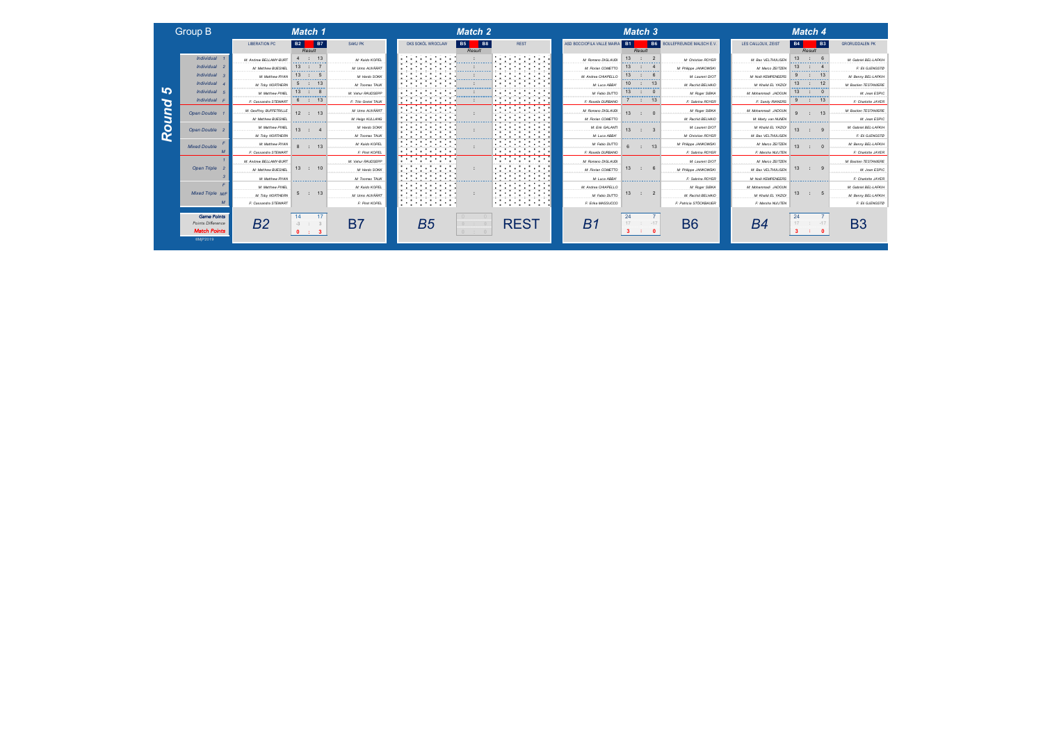### Group B *Match 1 Match 2*

*Round 5*

Round

്റ

©MjP2019

|                                         | <b>LIBERATION PC</b>                   | <b>B7</b><br><b>B2</b>              | SAKU PK              | OKS SOKÓL WROCLAW                                                          | B5<br><b>B8</b>                         | <b>REST</b>                                                                     | ASD BOCCIOFILA VALLE MAIRA | I B1                                    | <b>B6</b> BOULEFREUNDE MALSCH E.V | LES CAILLOUX, ZEIST       | <b>B3</b><br><b>B4</b>               | <b>GRORUDDALEN PK</b>  |
|-----------------------------------------|----------------------------------------|-------------------------------------|----------------------|----------------------------------------------------------------------------|-----------------------------------------|---------------------------------------------------------------------------------|----------------------------|-----------------------------------------|-----------------------------------|---------------------------|--------------------------------------|------------------------|
|                                         |                                        | Result                              |                      |                                                                            | Result                                  |                                                                                 |                            | Result                                  |                                   |                           | Result                               |                        |
| Individual 1                            | M: Andrew BELLAMY-BURT                 | $\therefore$ 13<br><b></b>          | M: Kaido KOPEL       | the control of the control of<br>.                                         |                                         | the company of the company<br>.                                                 | M: Romano DIGLAUDI         | 13<br>.                                 | M: Christian ROYER                | M: Bas VELTHUIJSEN        | 13<br>.                              | M: Gabriel BEL-LAFKII- |
| Individual 2                            | M: Matthew BUESNEL<br>---------------- | .                                   | M: Umro AUVÄÄRT      |                                                                            |                                         | .<br>.<br><b><i>Contractor Company</i></b>                                      | M: Florian COMETTO<br>.    | 13<br>-------------                     | M: Philippe JANKOWSKI             | M: Marco ZEITZEN          | 13<br><b><i><u>PARK MARK</u></i></b> | F: Eli GJENGSTO        |
| Individual 3                            | M: Matthew RYAN                        | 13<br>------------                  | M: Hardo SOKK        |                                                                            | . <u>.</u>                              | .                                                                               | M: Andrea CHIAPELLO<br>.   | 13<br>.                                 | M: Laurent DIOT                   | M: Noël KEMPENEERS        |                                      | M: Benny BEL-LAFKII    |
| Individual                              | M: Toby NORTHERN                       | a sa matangan sa matang             | M: Toomas TAUK       | .<br>.                                                                     |                                         | . <u>.</u> .<br>the company's com-<br>.                                         | M: Luca ABBA               | 10<br><b>September 2000</b>             | M: Rachid BELHAID                 | M: Khalid EL YAZIDI       | 13                                   | M: Bastien TESTANIERE  |
| Individual 5                            | M: Matthew PINEL                       | 13<br>$\mathbb{R}$<br>.             | M: Vahur RAUDSEPP    | .                                                                          |                                         | .<br>the company of the company of the                                          | M: Fabio DUTTO             | 13<br>.                                 | M: Roger SIBKA                    | M: Mohammadi JADOUN       | 13<br>- 0<br>.                       | M: Jean ESPIC          |
| Individual F                            | F: Cassandra STEWART                   | $\therefore$ 13<br>6                | F: Triin Gretel TAUK | .                                                                          |                                         | .                                                                               | F: Rosella DURBANO         | <b>COLLECTION</b><br>13                 | F: Sabrina ROYER                  | F: Sandy RIKKERS          | 9<br>million.<br>-13                 | F: Charlotte JAYER     |
| Open Double 1                           | M: Geoffroy BUFFETRILLE                | 12 : 13                             | M: Umro AUVÄÄRT      | .<br>.                                                                     |                                         | the company's company's company's<br>.                                          | M: Romano DIGLAUDI         | 13 <sup>1</sup>                         | M: Roger SIBKA                    | M: Mohammadi JADOUN       | 13 <sub>1</sub>                      | M: Bastien TESTANIERE  |
|                                         | M: Matthew BUESNEL                     | .                                   | M: Heigo KULLANG     | .<br>.                                                                     |                                         | the control of the con-                                                         | M: Florian COMETTO         | .                                       | M: Rachid BELHAID                 | M: Marty van NUNEN        |                                      | M: Jean ESPIC          |
| Open Double 2                           | M: Matthew PINEL                       | 13 <sup>13</sup><br><b>Contract</b> | M: Hardo SOKK        | .<br>.                                                                     |                                         | .                                                                               | M: Erik GALANTI            | 13 <sup>1</sup>                         | M: Laurent DIOT                   | M: Khalid EL YAZIDI       | 13 <sup>1</sup>                      | M: Gabriel BEL-LAFKII- |
|                                         | M: Toby NORTHERN                       | <b>Construction Construction</b>    | M: Toomas TAUK       | the control of the control of<br><b>Contract Communication</b>             |                                         | the contract of the contract of the contract of<br>.                            | M: Luca ABBA'              | a sa manang manang manang               | M: Christian ROYER                | M: Bas VELTHUIJSEN        | <u>an manang manang manang sa</u>    | F: Eli GJENGSTO        |
| <b>Mixed Double</b>                     | M: Matthew RYAN                        | : 13                                | M: Kaido KOPEL       | .<br>the company's company's company's                                     |                                         | .<br>the contract of the contract of the<br>and the contract of the contract of | M: Fabio DUTTO             | 13<br>$\mathbb{R}^n$                    | M: Phillope JANKOWSKI             | M: Marco ZEITZEN          | 13<br><b>COLLECT</b>                 | M: Benny BEL-LAFKII-   |
| $\overline{M}$                          | F: Cassandra STEWART                   |                                     | F: Piret KOPEL       | .<br>.                                                                     |                                         | the company of the company of                                                   | F: Rosella DURBANO         |                                         | F: Sabrina ROYER                  | F: Marsha NUIJTEN         |                                      | F: Charlotte JAYER     |
|                                         | M: Andrew BELLAMY-BURT                 |                                     | M. Vahur RAUDSEPP    | the company's company's<br>ويرودون والمرود والمرورة والمرورة               |                                         | the company of the company of                                                   | M: Romano DIGLAUDI         |                                         |                                   | M: Marco ZEITZEN          |                                      | M: Bastien TESTANIERE  |
| Open Triple 2                           | M: Matthew BUESNEL                     | 13 : 10                             | M: Hardo SOKK        | .<br>.                                                                     |                                         | <b>Service Control</b><br>a participante a construction                         | M: Rorian COMETTO          | 13<br>$\therefore$ 6                    | M: Philippe JANKOWSKI             | M: Bas VELTHUIJSEN        | $\therefore$ 9<br>13                 | M: Jean ESPIC          |
|                                         | M: Matthew RYAN                        | <b>Construction Construction</b>    | M: Toomas TAUK       | the contract of the contract of the contract of<br>.                       | <b><i>Construction Construction</i></b> | the contract of the contract of<br>.<br>.                                       | M: Luca ABBA'              | <b>Service American Service Advisor</b> | F: Sabrina ROYER                  | <b>M: Noël KEMPENEERS</b> | <b>Service Advisory Concernsive</b>  | F: Charlotte JAYER     |
|                                         | M: Matthew PINEL                       |                                     | M: Kaido KOPEL       | .<br>the company's company's company's<br>. .<br>ومستحصر والمتحدث والمتحدث |                                         | .<br>the control of the control of the<br>والمتوسط والمتوسط والمتواردة          | M: Andrea CHIAPELLO        |                                         | M: Roger SIBKA                    | M: Mohammadi JADOUN       |                                      | M: Gabriel BEL-LAFKII- |
| <b>Mixed Triple M/F</b>                 | M: Toby NORTHERN                       | 5 : 13                              | M: Umo AUVÄÄRT       | .<br>the control of the control of the                                     |                                         | .<br>the control of the control of the                                          | M: Fabio DUTTO             | 13<br><b>Contract</b>                   | M: Rachid BELHAID                 | M: Khalid EL YAZIDI       | 13 : 5                               | M: Benny BEL-LAFKII-   |
| M                                       | F: Cassandra STEWART                   |                                     | F: Piret KOPEL       | .                                                                          |                                         | a sa mga magaalaysin ng mga magaalaysin<br>.                                    | F: Erika MASSUCCO          |                                         | F: Patricia STÖCKBAUER            | F: Marsha NUIJTEN         |                                      | F: Eli GJENGSTO        |
|                                         |                                        |                                     |                      |                                                                            |                                         |                                                                                 |                            |                                         |                                   |                           |                                      |                        |
| <b>Game Points</b><br>Points Difference |                                        |                                     |                      |                                                                            |                                         |                                                                                 |                            | $17 -$<br>$-17$                         |                                   |                           | 24<br>17<br>$-17$                    |                        |
|                                         | B2                                     |                                     | B7                   | B5                                                                         |                                         | <b>RES</b>                                                                      | B1                         |                                         | B <sub>6</sub>                    | B4                        |                                      | B3                     |
| <b>Match Points</b>                     |                                        |                                     |                      |                                                                            |                                         |                                                                                 |                            | $\Omega$                                |                                   |                           |                                      |                        |

|                          | <b>LIBERATION PC</b>        | <b>B7</b><br><b>B2</b>             | SAKU PK                | <b>B8</b><br>OKS SOKÓL WROCLAW<br><b>B5</b>                          | <b>REST</b>                                                                                                   | ASD BOCCIOFILA VALLE MAIR | <b>B1</b>                                                                                                                                                                                                                                        | BOULEFREUNDE MALSCH E.V. | LES CAILLOUX, ZEIST                  | <b>B3</b><br><b>B4</b>                   | <b>GRORUDDALEN PK</b>        |
|--------------------------|-----------------------------|------------------------------------|------------------------|----------------------------------------------------------------------|---------------------------------------------------------------------------------------------------------------|---------------------------|--------------------------------------------------------------------------------------------------------------------------------------------------------------------------------------------------------------------------------------------------|--------------------------|--------------------------------------|------------------------------------------|------------------------------|
|                          |                             | Result                             |                        | Result                                                               |                                                                                                               |                           | Result                                                                                                                                                                                                                                           |                          |                                      | Result                                   |                              |
| Individual 1             | M: Andrew BELLAMY-BURT<br>. | : 13<br>------------               | M: Kaido KOPEL<br>.    | and the company of the com-<br>. <b>.</b> .                          | the company of the company<br>.<br>.                                                                          | M: Romano DIGLAUDI        | 13<br>.                                                                                                                                                                                                                                          | M: Christian ROYER       | M: Bas VELTHUIJSEN                   | .                                        | M: Gabriel BEL-LAFKII-       |
| Individual 2             | M: Matthew BUESNEL          | 13                                 | M: Umo AUVÄÄRT         | <b>PERSONAL</b>                                                      | .<br>.                                                                                                        | M: Florian COMETTO        | 13                                                                                                                                                                                                                                               | M: Phillope JANKOWSKI    | M: Marco ZEITZEN                     | 13                                       | F: Eli GJENGSTO              |
| Individual 3             | M: Matthew RYAN             | 13<br>.                            | M: Hardo SOKK          | .<br>. <u></u>                                                       | .<br>.                                                                                                        | M: Andrea CHIAPELLO       | 13<br>.                                                                                                                                                                                                                                          | M: Laurent DIOT          | M: Not KEMPENEERS                    | .                                        | M: Benny BEL-LAFKII-         |
| Individual               | M: Toby NORTHERN            | - 13<br>5.<br>-------------        | M: Toomas TAUK         |                                                                      | .                                                                                                             | M: Luca ABBA'             | 10 <sup>1</sup><br>13<br>---------------                                                                                                                                                                                                         | M: Rachid BELHAID        | M: Khalid EL YAZIDI                  | 12<br>13<br>--------------               | <b>M: Bastien TESTANIERE</b> |
| Individual 5             | M: Matthew PINEL            | 13<br>: 8<br>.                     | M: Vahur RAUDSEPP      |                                                                      | and a series of the contract of the                                                                           | M: Fabio DUTTO            | 13<br>. <u>.</u> .                                                                                                                                                                                                                               | M: Roger SIBKA           | M: Mohammadi JADOUN                  | 13                                       | M: Jean ESPIC                |
| Individual               | F: Cassandra STEWART        | 6<br>$\therefore$ 13               | F: Triin Gretel TAUK   | .<br>.                                                               | .<br>.                                                                                                        | F: Rosella DURBANO        | 13                                                                                                                                                                                                                                               | F: Sabrina ROYER         | F: Sandy RIKKERS                     | -13<br>$\sim$                            | F: Charlotte JAYER           |
| pen Double               | M: Geoffroy BUFFETRILLE     | 12 : 13                            | M: Umro AUVÄÄRT        | .<br>.<br><b></b>                                                    | the company of the company of the<br>.                                                                        | M: Romano DIGLAUDI        | 13                                                                                                                                                                                                                                               | M: Roger SIBKA           | M: Mohammadi JADOUN                  |                                          | M: Bastien TESTANIERE        |
|                          | M: Matthew BUESNEL          | .                                  | M: Heigo KULLANG       | .<br>.                                                               | .<br>the contract of the contract of the                                                                      | M: Rorian COMETTO         | .                                                                                                                                                                                                                                                | M: Rachid BELHAID        | M: Marty van NUNEN                   | .                                        | M: Jean ESPIC                |
| pen Double 2             | M: Matthew PINEL            | 13                                 | M: Hardo SOKK          | .<br>and a second company of the second second<br>.                  | and the company of the company of<br>.<br>--------------------<br><b><i>Committee Committee Committee</i></b> | M: Erik GALANTI           | 13                                                                                                                                                                                                                                               | M: Laurent DIOT          | M: Khalid EL YAZIDI                  | 13                                       | M: Gabriel BEL-LAFKII-       |
|                          | M: Toby NORTHERN            | <u> Santa Caracteria (m. 1888)</u> | M: Toomas TAUK         | and the state of the state of<br>.<br><b>Service Service Service</b> | . .                                                                                                           | M: Luca ABBA              | ----------------                                                                                                                                                                                                                                 | M: Christian ROYER       | M: Bas VELTHUIJSEN                   | <u>a sa sana sa sana sa sa s</u>         | F: Eli GJENGSTO              |
| xed Double               | M: Matthew RYAN             | $\mathbf{R}$<br>13                 | M: Kaido KOPEL         | .<br>the contract of the contract of                                 | .<br>the control of the control of the                                                                        | M: Fabio DUTTO            | 13<br>$6 \overline{6}$                                                                                                                                                                                                                           | M: Phillope JANKOWSKI    | M: Marco ZEITZEN                     | 13<br>$\Omega$                           | M: Benny BEL-LAFKII          |
|                          | F: Cassandra STEWART        |                                    | F: Piret KOPEL         | .<br><b>STATE OF STATE OF STATE</b><br>. .                           | .<br>.                                                                                                        | F: Rosella DURBANO        |                                                                                                                                                                                                                                                  | F: Sabrina ROYER         | F: Marsha NUIJTEN                    |                                          | F: Charlotte JAYER           |
|                          | M: Andrew BELLAMY-BURT      |                                    | M: Vahur RAUDSEPP<br>. | .<br>.<br>.<br><b></b>                                               | the control of the control of<br>.                                                                            | M: Romano DIGLAUDI        |                                                                                                                                                                                                                                                  |                          | $\ldots \ldots M$ : Me Marco ZEITZEN |                                          | M. Bastien TESTANERE         |
| Open Triple <sub>2</sub> | M: Matthew BUESNEL          | 13 : 10                            | M: Hardo SOKK          | .<br>.<br>and a complete the complete state of the complete          | the company of the company of<br>companies are companies and                                                  | M: Rorian COMETTO         | 13<br>6                                                                                                                                                                                                                                          | M: Philippe JANKOWSKI    | M: Bas VELTHUIJSEN                   | $\mathcal{G}$<br>13<br><b>COLLECTION</b> | M: Jean ESPIC                |
|                          | M: Matthew RYAN             | <u> a concerta de concerta </u>    | M: Toomas TAUK         | the contract of the contract of the<br><b>State State State</b>      | .<br>the company's company's                                                                                  | M: Luca ABBA              | <b><i><u>Programmation Control Control Control Control Control Control Control Control Control Control Control Control Control Control Control Control Control Control Control Control Control Control Control Control Control Contr</u></i></b> | F: Sabrina ROYER         | M: Noël KEMPENEERS                   | <u>an manazaran ana manazaran a</u>      | F: Charlotte JAYER           |
|                          | M: Matthew PINEL            |                                    | M: Kaido KOPEL         | .<br>والمستحيل والمتحدث                                              | .<br>والمتواصل والمتواصل والمراد                                                                              | M: Andrea CHIAPELLO       |                                                                                                                                                                                                                                                  | M: Roger SIBKA           | M: Mohammadi JADOUN                  |                                          | M: Gabriel BEL-LAFKII-       |
| <b>Mixed Triple M/F</b>  | M: Toby NORTHERN            | 5 : 13                             | M: Umo AUVÄÄRT         | .<br>the contract of the contract of                                 | .<br>the control of the control of the                                                                        | M: Fabio DUTTO            | 13<br><b>COL</b>                                                                                                                                                                                                                                 | M: Rachid BELHAID        | M: Khalid EL YAZIDI                  | 13<br>-5<br><b>STATE</b>                 | M: Benny BEL-LAFKII-         |
| M                        | F: Cassandra STEWART        |                                    | F: Piret KOPEL         | an an an Aonaichte an Aonaichte<br>.                                 | .                                                                                                             | F: Erika MASSUCCO         |                                                                                                                                                                                                                                                  | F: Patricia STÖCKBAUER   | F: Marsha NULITEN                    |                                          | F: Eli GJENGSTO              |
|                          |                             |                                    |                        |                                                                      |                                                                                                               |                           |                                                                                                                                                                                                                                                  |                          |                                      |                                          |                              |
| <b>Game Points</b>       |                             |                                    |                        |                                                                      |                                                                                                               |                           | 24                                                                                                                                                                                                                                               |                          |                                      | 24                                       |                              |
| Points Difference        | B <sub>2</sub>              | $-3$<br>$\sim$                     | B7                     | B <sub>5</sub>                                                       | RES <sup>-</sup>                                                                                              | B1                        | 17                                                                                                                                                                                                                                               | <b>B6</b>                | B4                                   | 17<br>$-17$                              | B3                           |
| <b>Match Points</b>      |                             | $\mathbf{3}$                       |                        |                                                                      |                                                                                                               |                           |                                                                                                                                                                                                                                                  |                          |                                      |                                          |                              |

| <b>B1</b><br>ASD BOCCIOFILA VALLE MAIRA |                 |        | <b>B6</b>                | BOLILEEREUNDE MALSCHIE V | <b>LES CAILLOUX, ZEIST</b> | <b>B4</b> |     |
|-----------------------------------------|-----------------|--------|--------------------------|--------------------------|----------------------------|-----------|-----|
|                                         |                 | Result |                          |                          |                            |           | Res |
| M: Romano DIGLAUDI                      | 13              |        | $\overline{2}$           | M: Christian ROYER       | M: Bas VELTHUIJSEN         | 13        |     |
| M: Rorian COMETTO                       | 13              | ÷      | $\overline{4}$           | M: Phillope JANKOWSKI    | M: Marco ZEITZEN           | 13        |     |
| M: Andrea CHIAPELLO                     | 13              |        | 6                        | M: Laurent DIOT          | <b>M. NON KEMPENEERS</b>   | 9         |     |
| M: Luca ABBA*                           | 10              |        | 13                       | M: Rachid BELHAID        | M: Khalid EL YAZIDI        | 13        |     |
| M: Fabio DUTTO                          | 13              |        | $\mathbf{0}$             | M: Roger SIBKA           | M: Mohammadi JADOUN        | 13        |     |
| F: Rosella DURBANO                      | $\overline{7}$  | ÷      | 13                       | F: Sabrina ROYER         | F: Sandy RIKKERS           | 9         |     |
| M: Romano DIGLAUDI                      | 13              |        | $\Omega$                 | M: Roger SIBKA           | M: Mohammadi JADOUN        | 9         |     |
| M: Rorian COMETTO                       |                 |        |                          | M: Rachid BELHAID        | M: Marty van NUNEN         |           |     |
| M: Erik GALANTI                         | 13              |        | $\overline{3}$           | M: Laurent DIOT          | M: Khalid EL YAZIDI        | 13        |     |
| M: Luca ABBA'                           |                 |        |                          | M: Christian ROYER       | M: Bas VELTHUIJSEN         |           |     |
| M: Fabio DUTTO                          | $6\overline{6}$ |        | 13                       | M: Phillope JANKOWSKI    | M: Marco ZEITZEN           | 13        |     |
| F: Rosella DURBANO                      |                 |        |                          | F: Sabrina ROYER         | F: Marsha NUIJTEN          |           |     |
| M: Romano DIGLAUDI                      |                 |        |                          | M: Laurent DIOT          | M: Marco ZEITZEN           |           |     |
| M: Rorian COMETTO                       | 13              |        | 6                        | M: Phillope JANKOWSKI    | M: Bas VELTHUIJSEN         | 13        |     |
| M: Luca ABBA'                           |                 |        |                          | F: Sabrina ROYER         | M: Noël KEMPENEERS         |           |     |
| M: Andrea CHIAPELLO                     |                 |        |                          | M: Roger SIBKA           | M: Mohammadi JADOUN        |           |     |
| M: Fabio DUTTO                          | 13              | ċ,     | $\overline{\phantom{0}}$ | M: Rachid BELHAID        | M: Khalid EL YAZIDI        | 13        |     |
| F: Erika MASSUCCO                       |                 |        |                          | F: Patricia STÖCKBAUER   | F: Marsha NUIJTEN          |           |     |
|                                         |                 |        |                          |                          |                            |           |     |



## *Match 3 Match 4*

|        | <b>B6</b>      | BOULEEREUNDE MALSCHIEV | <b>LES CAILLOUX, ZEIST</b> | <b>B4</b>    |        | B <sub>3</sub> | <b>GRORUDDALEN PK</b> |
|--------|----------------|------------------------|----------------------------|--------------|--------|----------------|-----------------------|
| Result |                |                        |                            |              | Result |                |                       |
|        | $\overline{2}$ | M: Christian ROYER     | M: Bas VELTHUIJSEN         | 13           |        | 6              | M: Gabriel BEL-LAFKIH |
|        | 4              | M: Phillope JANKOWSKI  | M: Marco ZEITZEN           | 13           |        | 4              | F: Eli GJENGSTØ       |
|        | 6              | M: Laurent DIOT        | M: Noël KEMPENEERS         | 9            |        | 13             | M: Benny BEL-LAFKIH   |
|        | 13             | M: Rachid BELHAID      | M: Khalid EL YAZIDI        | 13           |        | 12             | M: Bastien TESTANIERE |
|        | $\Omega$       | M: Roger SIBKA         | M: Mohammadi JADOUN        | 13           |        | $\overline{0}$ | M: Jean ESPIC         |
|        | 13             | F: Sabrina ROYER       | F: Sandy RIKKERS           | 9            |        | 13             | F: Charlotte JAYER    |
|        | $\Omega$       | M: Roger SIBKA         | M: Mohammadi JADOUN        | $\mathbf{Q}$ |        | 13             | M: Bastien TESTANIERE |
|        |                | M: Rachid BELHAID      | M: Marty van NUNEN         |              |        |                | M: Jean ESPIC         |
|        | 3              | M: Laurent DIOT        | M: Khalid EL YAZIDI        | 13           |        | 9              | M: Gabriel BEL-LAFKIH |
|        |                | M: Christian ROYER     | M: Bas VELTHUIJSEN         |              |        |                | F: Eli GJENGSTØ       |
|        | 13             | M: Phillope JANKOWSKI  | M: Marco ZEITZEN           | 13           | ł,     | $\mathbf 0$    | M: Benny BEL-LAFKIH   |
|        |                | F: Sabrina ROYER       | F: Marsha NUIJTEN          |              |        |                | F: Charlotte JAYER    |
|        |                | M: Laurent DIOT        | M: Marco ZEITZEN           |              |        |                | M: Bastien TESTANIERE |
|        | 6              | M: Phillope JANKOWSKI  | M: Bas VELTHUIJSEN         | 13           |        | 9              | M: Jean ESPIC         |
|        |                | F: Sabrina ROYER       | <b>M: Noël KEMPENEERS</b>  |              |        |                | F: Charlotte JAYER    |
|        |                | M: Roger SIBKA         | M: Mohammadi JADOUN        |              |        |                | M: Gabriel BEL-LAFKIH |
|        | $\overline{2}$ | M: Rachid BELHAID      | M: Khalid EL YAZIDI        | 13           |        | 5              | M: Benny BEL-LAFKIH   |
|        |                | F: Patricia STÖCKBAUER | F: Marsha NUIJTEN          |              |        |                | F: Eli GJENGSTØ       |
|        |                |                        |                            |              |        |                |                       |

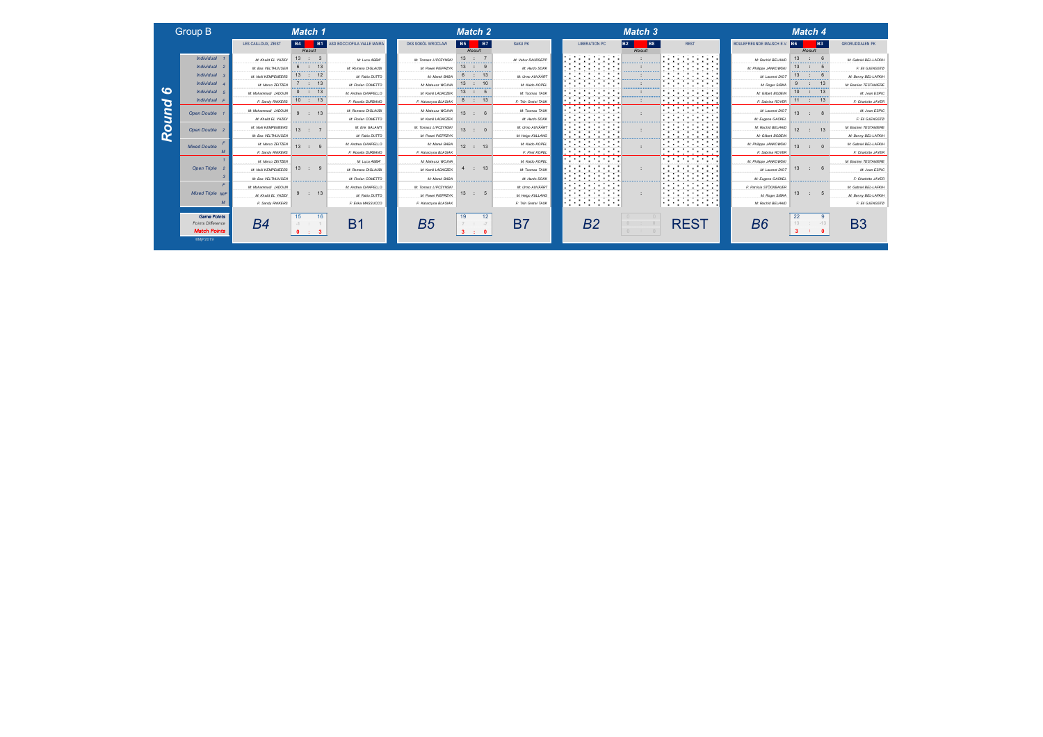| Group B |  |  |
|---------|--|--|
|         |  |  |

*Round 6*

Round

 $\bullet$ 

*Match Points* ©MjP2019

|                         | LES CAILLOUX, ZEIST                   | <b>B4</b><br><b>B1</b><br>Result               | ASD BOCCIOFILA VALLE MAIRA          | OKS SOKOL WROCLAW         | <b>B7</b><br><b>B5</b><br>Result | SAKU PK                            | <b>LIBERATION PC</b>                                                                                       | <b>B8</b><br><b>B2</b><br>Result                     | <b>REST</b>                                                                                                                                                                                                                                                                   | <b>BOULEFREUNDE MALSCH E.V</b> | <b>B3</b><br>I B6<br>Result             | <b>GRORUDDALEN PK</b>        |
|-------------------------|---------------------------------------|------------------------------------------------|-------------------------------------|---------------------------|----------------------------------|------------------------------------|------------------------------------------------------------------------------------------------------------|------------------------------------------------------|-------------------------------------------------------------------------------------------------------------------------------------------------------------------------------------------------------------------------------------------------------------------------------|--------------------------------|-----------------------------------------|------------------------------|
| Individual 1            | M: Khalid EL YAZIDI<br>. <del>.</del> | $\therefore$ 3<br><b></b>                      | M: Luca ABBA'                       | M: Tomasz LIPCZYNSKI<br>. | 13<br>$\cdot$ : 7<br><b></b>     | M: Vahur RAUDSEPP<br>.             | the company of the company<br>.                                                                            | .                                                    | and the company of the company<br>.                                                                                                                                                                                                                                           | M: Rachid BELHAID<br>.         | 13<br>.                                 | M: Gabriel BEL-LAFKII-       |
| Individual 2            | M: Bas VELTHUUSEN                     | -------------                                  | M: Romano DIGLAUDI                  | M: Pawel PIEPRZYK         | 13<br>-------------              | M: Hardo SOKK                      | .                                                                                                          |                                                      | .<br><b>The contract of the contract of the contract</b>                                                                                                                                                                                                                      | M: Philippe JANKOWSKI          | 13<br><b></b>                           | F: Eli GJENGSTO              |
| Individual 3            | M: Noel KEMPENEERS                    | .                                              | M: Fabio DUTTO                      | M: Marek BABA<br>.        | 6<br>.                           | M: Umo AUVÄÄRT                     | . .<br>. .<br>.<br>.                                                                                       |                                                      | and the state of the state of<br>.<br>.                                                                                                                                                                                                                                       | M: Laurent DIOT<br>.           | 13                                      | M: Benny BEL-LAFKII          |
| Individual 4            | M: Marco ZEITZEN                      | ,,,,,,,,,,,,,,,,,,                             | M: Florian COMETTO                  | M: Mateusz WOJNA          | 13<br>-------------              | M: Kaido KOPEL                     | the company of the company<br>.                                                                            | <b><i>Construction Construction Construction</i></b> | the contract of the contract of the<br>.                                                                                                                                                                                                                                      | M: Roger SIBKA                 |                                         | <b>M: Bastien TESTANIERE</b> |
| Individual 5            | M: Mohammadi JADOUN                   | : 13<br>.                                      | M: Andrea CHIAPELLO                 | M: Kamil LADACZEK         | 13<br>. <u>.</u> .               | M: Toomas TAUK                     | .<br>the contract of the contract of the                                                                   |                                                      | . .<br>the contract of the contract of<br>.                                                                                                                                                                                                                                   | M: Gilbert BODEIN              | 10                                      | M: Jean ESPIC                |
| Individual F            | F: Sandy RIKKERS                      | 10 <sup>10</sup><br>$\therefore$ 13            | F: Rosella DURBANO                  | F: Katarzyna BLASIAK      | : 13<br>ೆ                        | F: Thin Gretel TAUK                | .                                                                                                          |                                                      | .<br>.                                                                                                                                                                                                                                                                        | F: Sabrina ROYER               | 11<br>13<br>- 12                        | F: Charlotte JAYER           |
| Open Double 1           | M: Mohammadi JADOUN                   | $\therefore$ 13<br>$\mathbf{a}$                | M: Romano DIGLAUDI                  | M: Mateusz WOJNA          | 13<br>-6                         | M: Toomas TAUK                     | .<br>.<br>. .<br>.<br>.                                                                                    |                                                      | <u> The Communication of the Communication of the Communication of the Communication of the Communication of the Communication of the Communication of the Communication of the Communication of the Communication of the Commun</u><br>.<br>an experience representative and | M: Laurent DIOT                | 13 <sup>1</sup>                         | M: Jean ESPIC                |
|                         | M: Khald EL YAZIDI                    | .                                              | M: Florian COMETTO                  | M: Kamil LADACZEK         | .                                | M: Hardo SOKK                      | .<br>.                                                                                                     |                                                      | .<br>.                                                                                                                                                                                                                                                                        | M: Eugene GACKEL               | .                                       | F: Eli GJENGSTO              |
| Open Double 2           | M: Noti KEMPENEERS                    | 13 <sup>1</sup>                                | M: Erik GALANTI                     | M: Tomasz LIPCZYNSKI      | 13                               | M: Urmo AUVÄÄRT                    | the contract of the contract of the<br>. .<br>.<br>the contract of the contract of the                     |                                                      | .<br>المتمسين والمتستنب                                                                                                                                                                                                                                                       | M: Rachid BELHAID              | 12 <sup>1</sup><br>13 <sup>1</sup>      | <b>M: Bastien TESTANIERE</b> |
|                         | M: Bas VELTHUUSEN                     |                                                | M: Fabio DUTTO                      | M: Pawel PIEPRZYK         | <b>Construction Advisors</b>     | M: Heigo KULLANG                   | the contract of the contract of the<br>the control of the components of<br>the contract of the contract of |                                                      | .                                                                                                                                                                                                                                                                             | M: Gilbert BODEIN              | <u> Alexander Alexander Alexander (</u> | M: Benny BEL-LAFKII          |
| <b>Mixed Double</b>     | M: Marco ZEITZEN                      | 13 : 9                                         | M: Andrea CHIAPELLO                 | M: Marek BABA             | 12 : 13                          | M: Kaido KOPEL                     | .<br>.<br>.                                                                                                |                                                      | .<br>the contract of the contract of the<br>and the company of the company<br>.                                                                                                                                                                                               | M: Philippe JANKOWSKI          | 13<br>$\cdots$                          | M: Gabriel BEL-LAFKII-       |
|                         | F: Sandy RIKKERS                      |                                                | F: Rosella DURBANO                  | F: Katarzyna BLASIAK      |                                  | F: Piret KOPEL                     | .<br>.                                                                                                     |                                                      | .                                                                                                                                                                                                                                                                             | F: Sabrina ROYER               |                                         | F: Charlotte JAYER           |
|                         | $\ldots \ldots M$ : Me Marco ZEITZEN  |                                                | $\ldots \ldots \ldots M$ Luca ABBA' | M: Mateusz WOJNA          |                                  | M: Kaido KOPEL<br>. <del>. .</del> | .<br>.                                                                                                     |                                                      | and the company of the company<br>المتستشير المتستشير                                                                                                                                                                                                                         | M: Philippe JANKOWSKI          |                                         | M: Bastien TESTANIERE        |
| Open Triple 2           | <b>M: NHH KEMPENEERS</b>              | 13 : 9                                         | M: Romano DIGLAUDI                  | M: Kamil LADACZEK         | : 13                             | M: Toomas TAUK                     | .<br>.<br><b>The Contract Contract Contract Contract</b>                                                   |                                                      | .<br>the contract of the contract of                                                                                                                                                                                                                                          | M: Laurent DIOT                | 13<br>6<br><b>COLLECTION</b>            | M: Jean ESPIC                |
|                         | M: Bas VELTHUUSEN                     | <b><i><u>Programmation Contractors</u></i></b> | M: Florian COMETTO                  | M: Marek BABA             | <b>Service Service Services</b>  | M: Hardo SOKK                      | .<br>.<br>.                                                                                                | and the contract of the components of                | the contract of the contract of the<br>.<br>.                                                                                                                                                                                                                                 | M: Eugene GACKEL               | <b>Service Service Service Service</b>  | F: Charlotte JAYER           |
|                         | M: Mohammadi JADOUN                   |                                                | M: Andrea CHIAPELLO                 | M: Tomasz LIPCZYNSKI      |                                  | M: Urmo AUVÄÄRT                    | the contract of the contract of the<br>. .<br>.<br>.                                                       |                                                      | and the company of the company                                                                                                                                                                                                                                                | F: Patricia STOCKBAUER         |                                         | M: Gabriel BEL-LAFKII-       |
| <b>Mixed Triple M/F</b> | M: Khalid EL YAZIDI                   | $\therefore$ 13                                | M: Fabio DUTTO                      | M: Pawel PIEPRZYK         | 13<br>$\therefore$ 5             | M: Heigo KULLANG                   | .<br>.                                                                                                     |                                                      | .<br>the contract of the contract of the<br>an sa bagaim na bagaim na bagaim na b                                                                                                                                                                                             | M: Roger SIBKA                 | 5<br>13<br><b>COLLEGE</b>               | M: Benny BEL-LAFKII-         |
| $\overline{M}$          | F: Sandy RIKKERS                      |                                                | F: Erika MASSUCCO                   | F: Katarzyna BLASIAK      |                                  | F: Thin Gretel TAUK                | .                                                                                                          |                                                      | .                                                                                                                                                                                                                                                                             | M: Rachid BELHAID              |                                         | F: Eli GJENGSTO              |
|                         |                                       |                                                |                                     |                           |                                  |                                    |                                                                                                            |                                                      |                                                                                                                                                                                                                                                                               |                                |                                         |                              |

| Game Points<br>nts Difference<br>atch Points |  | A.C<br>ю |  |  | . . |  |
|----------------------------------------------|--|----------|--|--|-----|--|
|----------------------------------------------|--|----------|--|--|-----|--|

| <b>Group B</b>          |                                    | Match 1                              |                                        |                      | Match 2                            |                      |                                                                     | Match 3                                                  |                                                                                                |                                                           |           | Match 4                                                                                                                                                                                                                                          |                        |
|-------------------------|------------------------------------|--------------------------------------|----------------------------------------|----------------------|------------------------------------|----------------------|---------------------------------------------------------------------|----------------------------------------------------------|------------------------------------------------------------------------------------------------|-----------------------------------------------------------|-----------|--------------------------------------------------------------------------------------------------------------------------------------------------------------------------------------------------------------------------------------------------|------------------------|
|                         | LES CAILLOUX, ZEIST                | B4  <br><b>B1</b><br>Result          | ASD BOCCIOFILA VALLE MAIRA             | OKS SOKÓL WROCLAW    | <b>B5</b><br><b>B7</b><br>Result   | SAKU PK              | <b>LIBERATION PC</b>                                                | <b>B8</b><br><b>B2</b><br>Result                         | <b>REST</b>                                                                                    | <b>BOULEFREUNDE MALSCH E.</b>                             | <b>B6</b> | <b>B3</b><br>Result                                                                                                                                                                                                                              | <b>GRORUDDALEN PK</b>  |
| Individual 1            | M: Khalid EL YAZIDI                | 13 : 3<br><b>************</b>        | M: Luca ABBA*                          | M: Tomasz LIPCZYNSK  | 13 : 7<br>.                        | M: Vahur RAUDSEPP    | .<br>.                                                              | . <b>.</b>                                               | and the company of the company<br>.                                                            | M: Rachid BELHAIL                                         | 13        | .                                                                                                                                                                                                                                                | M: Gabriel BEL-LAFKII- |
| Individual 2            | M: Bas VELTHUUSEN                  | -13<br>.                             | M: Romano DIGLAUDI<br>---------------- | M: Pawel PIEPRZYJ    | 13<br>                             | M: Hardo SOKK        | .                                                                   |                                                          | .                                                                                              | M: Philippe JANKOWSK                                      | 13        | <b></b>                                                                                                                                                                                                                                          | F: Eli GJENGSTO        |
| Individual              | M: Noël KEMPENEERS                 | 13<br>.                              | M: Fabio DUTTO                         | M: Marek BABA        | 6<br>.                             | M: Urmo AUVÄÄRT      | .<br>.<br>. <u>.</u>                                                |                                                          | .<br>.                                                                                         | M: Laurent DIOT                                           | 13        | .                                                                                                                                                                                                                                                | M: Benny BEL-LAFKII-   |
| Individual 4            | M: Marco ZEITZEN                   | -13<br>$\mathbf{r}$                  | M: Florian COMETTO                     | M: Mateusz WOJNA     | 13<br>: 10                         | M: Kaido KOPEL       | the contract of the contract of the<br>.<br>and and the second con- | <b><i><u>A CONTRACTOR CONTRACTOR</u></i></b>             | the contract of the contract of the<br>.                                                       | M: Roger SIBKA                                            |           |                                                                                                                                                                                                                                                  | M: Bastien TESTANIERE  |
| Individual !            | M: Mohammadi JADOUN                | : 13<br>.                            | M: Andrea CHIAPELLO                    | M: Kamil LADACZEK    | 13<br>.                            | M: Toomas TAUK       | .                                                                   |                                                          | .<br>the contract of the contract of<br>.                                                      | M: Gilbert BODEIN                                         | 10        | 13<br>.                                                                                                                                                                                                                                          | M: Jean ESPIC          |
| Individual              | F: Sandy RIKKERS                   | 10 <sup>10</sup><br>: 13             | F: Rosella DURBANO                     | F: Katarzyna BLASIAK | : 13<br>õ                          | F: Triin Gretel TAUK | .<br>.<br>$\blacksquare$                                            |                                                          | .<br>.                                                                                         | F: Sabrina ROYER                                          | 11        | 13                                                                                                                                                                                                                                               | F: Charlotte JAYEF     |
| Open Double             | M: Mohammadi JADOUN                | $\therefore$ 13<br>$9^{\circ}$       | M: Romano DIGLAUDI                     | M: Mateusz WOJNA     | 13<br>-6                           | M: Toomas TAUK       | .<br>.<br>.<br>.                                                    |                                                          | .<br>.<br>an experience representative and                                                     | M: Laurent DIOT                                           | 13        |                                                                                                                                                                                                                                                  | M: Jean ESPIC          |
|                         | M: Khalid EL YAZIDI                | .                                    | M: Florian COMETTO                     | M: Kamil LADACZEK    | .                                  | M: Hardo SOKK        | .                                                                   |                                                          | and the company of the company                                                                 | M: Eugene GACKEL                                          |           | .                                                                                                                                                                                                                                                | F: Eli GJENGSTO        |
| Open Double             | M: Notil KEMPENEERS                | 13 : 7                               | M: Erik GALANTI                        | M: Tomasz LIPCZYNSKI | $13$ :                             | M: Urmo AUVÄÄRT      | .<br>,,,,,,,,,,,,,,,,,,,,                                           |                                                          | .                                                                                              | M: Rachid BELHAID<br><b>ALC: YES: 20</b><br>_____________ | 12        | 13 <sub>1</sub>                                                                                                                                                                                                                                  | M: Bastien TESTANIERE  |
|                         | M: Bas VELTHUIJSEN                 | <u> Santa Caracteria (m. 1888)</u>   | M: Fabio DUTTO                         | M: Pawal PIEPRZYK    | <b><i><u>Programmation</u></i></b> | M: Heigo KULLANG     | .<br><b>STATISTICS</b>                                              | ,,,,,,,,,,,,,,,,,,,,,,,                                  | the contract of the contract of the con-<br>.<br>the contract of the contract of the           | M: Gilbert BODEIN                                         |           | <b>Second-American Seconds</b>                                                                                                                                                                                                                   | M: Benny BEL-LAFKII-   |
| <b>Mixed Double</b>     | M: Marco ZEITZEN                   | 13<br>$\mathcal{G}$<br>$\mathcal{L}$ | M: Andrea CHIAPELLO                    | M: Marek BABA        | $12$ :<br>13                       | M: Kaido KOPEL       | .<br>the company of the company of the                              |                                                          | .<br>the contract of the contract of the<br>and a second control of the second control of<br>. | M: Philippe JANKOWSKI                                     | 13        | $\cdot$ 0                                                                                                                                                                                                                                        | M: Gabriel BEL-LAFKII- |
|                         | F: Sandy RIKKERS                   |                                      | F: Rosella DURBANO                     | F: Katarzyna BLASIAK |                                    | F: Piret KOPEL       | .<br>.                                                              |                                                          | .                                                                                              | F: Sabrina ROYER                                          |           |                                                                                                                                                                                                                                                  | F: Charlotte JAYEF     |
|                         | M: Marco ZEITZEN<br>. <sup>.</sup> |                                      | M: Luca ABBA'<br>.                     | M: Mateusz WOJNA     |                                    | M: Kaido KOPEL       | .<br>.<br>.                                                         |                                                          | .<br>.<br>.                                                                                    | M: Philippe JANKOWSKI                                     |           |                                                                                                                                                                                                                                                  | M: Bastien TESTANIERE  |
| <b>Open Triple</b>      | M: Noel KEMPENEERS                 | 13 : 9                               | M: Romano DIGLAUDI                     | M: Kamil LADACZEK    | $\therefore$ 13<br>4               | M: Toomas TAUK       | .<br>.<br>--------------                                            |                                                          | .<br>.                                                                                         | M: Laurent DIOT                                           | 13        | $\sim 100$                                                                                                                                                                                                                                       | M: Jean ESPIC          |
|                         | M: Bas VELTHUUSEN                  | <b>Service Andrew Service</b>        | M: Florian COMETTO                     | M: Marek BABA        | <b><i><u>Programmation</u></i></b> | M: Hardo SOKK        | .                                                                   | <b><i><u>Secretary Construction Construction</u></i></b> | .<br>the contract of the contract of                                                           | M: Eugene GACKEL                                          |           | <b><i><u>Programmation Control Control Control Control Control Control Control Control Control Control Control Control Control Control Control Control Control Control Control Control Control Control Control Control Control Contr</u></i></b> | F: Charlotte JAYER     |
|                         | M: Mohammadi JADOUN                |                                      | M: Andrea CHIAPELLO                    | M: Tomasz LIPCZYNSKI |                                    | M: Urmo AUVÄÄRT      | .<br>.<br>.                                                         |                                                          | .<br>.<br>and the company of the company of the                                                | F: Patricia STÖCKBAUER                                    |           |                                                                                                                                                                                                                                                  | M: Gabriel BEL-LAFKII- |
| <b>Mixed Triple M/F</b> | M: Khalid EL YAZIDI                | : 13                                 | M: Fabio DUTTO                         | M: Pawel PIEPRZYK    | $13$ :                             | M: Heigo KULLANG     | .                                                                   |                                                          | .<br>.                                                                                         | M: Roger SIBKA                                            | 13        | 5                                                                                                                                                                                                                                                | M: Benny BEL-LAFKII    |
|                         | F: Sandy RIKKERS                   |                                      | F: Erika MASSUCCO                      | F: Katarzyna BLASIAK |                                    | F: Thin Grotel TAUK  | <b>Second Construction Construction</b><br>.                        |                                                          | a matsayan na matsayin n<br>.                                                                  | M: Rachid BELHAID                                         |           |                                                                                                                                                                                                                                                  | F: Eli GJENGSTO        |
|                         |                                    |                                      |                                        |                      |                                    |                      |                                                                     |                                                          |                                                                                                |                                                           |           |                                                                                                                                                                                                                                                  |                        |





|                    |              | Match 4 |               |               |
|--------------------|--------------|---------|---------------|---------------|
| <b>GRORUDDALEN</b> | <b>B3</b>    |         |               | CHEV. B6      |
|                    |              | Result  |               |               |
| M: Gabriel BEL     | 6            |         | 13            | ELHAID        |
| F: Eli GJ          | $\sqrt{5}$   |         | 13            | OWSKI         |
| M: Benny BEL       | - 6          |         | 13            | nt DIOT       |
| M: Bastien TES'    | 13           |         | $\mathcal{Q}$ | SIBKA         |
| M: Jea             | 13           |         | 10            | <b>SODEIN</b> |
| F: Charlott        | 13           | 11 :    |               | ROYER         |
| M: Jea             | $\mathbf{R}$ |         | 13            | nt DIOT       |

| M: Gilbert BODEIN                                             | שו     | ٠                 |              | M: Jean ESPIO                                                   |
|---------------------------------------------------------------|--------|-------------------|--------------|-----------------------------------------------------------------|
| F: Sabrina ROYER                                              | 11     | $\sim$ 100 $\sim$ | 13           | F: Charlotte JAYER                                              |
| M: Laurent DIOT<br>M: Eugene GACKEL                           | 13     | $\cdot$ :         | $\mathbf{R}$ | M: Jean ESPIO<br>F: Eli GJENGSTO                                |
| M: Rachid BELHAID<br>M: Gilbert BODEIN                        | 12     | $\rightarrow$     | 13           | M: Bastien TESTANIER&<br>M: Benny BEL-LAFKII                    |
| M: Philippe JANKOWSKI<br>F: Sabrina ROYER                     | 13     | - 1               | $\Omega$     | M: Gabriel BEL-LAFKII<br>F: Charlotte JAYER                     |
| M: Philippe JANKOWSKI<br>M: Laurent DIOT<br>M: Eugene GACKEL  | 13     | $\sim$            | 6            | M: Bastien TESTANIER&<br>M: Jean ESPIO<br>F: Charlotte JAYER    |
| F: Patricia STÖCKBAUER<br>M: Roger SIBKA<br>M: Rachid BELHAID | $13$ : |                   | $-5$         | M: Gabriel BEL-LAFKII<br>M: Benny BEL-LAFKII<br>F: Eli GJENGSTO |

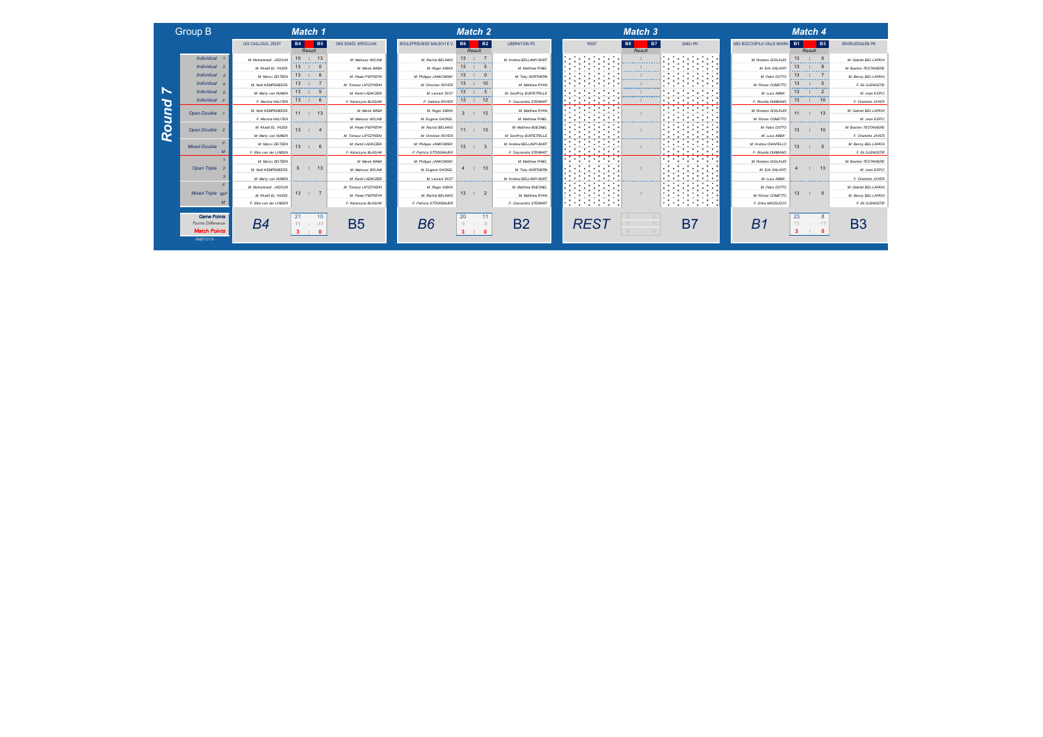| Group B |  |
|---------|--|

*Round 7*

Round 7

*Match Points* ©MjP2019

|                                                                | LES CAILLOUX, ZEIST      | <b>B4</b><br><b>B5</b>                 | OKS SOKÓL WROCLAW    | BOULEFREUNDE MALSCH E.V | I B6<br><b>B2</b>                                     | <b>LIBERATION PC</b>        | <b>REST</b>                                                                                    | <b>B7</b><br><b>B8</b>                                                                                                                                                                                                                           | SAKU PK                                                                                | ASD BOCCIOFILA VALLE MAIRA                 | <b>B3</b><br><b>B1</b>          | <b>GRORUDDALEN PK</b>  |
|----------------------------------------------------------------|--------------------------|----------------------------------------|----------------------|-------------------------|-------------------------------------------------------|-----------------------------|------------------------------------------------------------------------------------------------|--------------------------------------------------------------------------------------------------------------------------------------------------------------------------------------------------------------------------------------------------|----------------------------------------------------------------------------------------|--------------------------------------------|---------------------------------|------------------------|
|                                                                |                          | Result                                 |                      |                         | Result                                                |                             |                                                                                                | Result                                                                                                                                                                                                                                           |                                                                                        |                                            | Result                          |                        |
| Individual :                                                   | M: Mohammadi JADOUN<br>. | 10 <sup>1</sup><br>: 13<br>----------- | M: Mateusz WOJNA     | M: Rachid BELHAID       | 13<br><b></b>                                         | M: Andrew BELLAMY-BURT<br>. | the company of the company<br>.                                                                |                                                                                                                                                                                                                                                  | and the company of the company<br>.                                                    | M: Romano DIGLAUDI<br>-------------------- | 13<br>.                         | M: Gabriel BEL-LAFKII- |
| Individual 2                                                   | M: Khalid EL YAZIDI      | 13                                     | M: Marnic RARA       | M: Roger SIBKA          | 13<br>------------                                    | M: Matthew PINEL            | .                                                                                              |                                                                                                                                                                                                                                                  | and the company of the<br>.                                                            | M: Erik GALANTI                            | 13                              | M: Bastien TESTANIERE  |
| Individual 3                                                   | M: Marco ZEITZEN         | 13<br>------------                     | M: Pawel PIEPRZYK    | M: Philippe JANKOWSKI   | 13<br><b></b>                                         | M: Toby NORTHERN            | .<br>.                                                                                         | .                                                                                                                                                                                                                                                | the control of the control of<br><b><i>Committee Street</i></b><br>.                   | M: Fabio DUTTO                             | 13<br>.                         | M: Benny BEL-LAFKII    |
| Individual 4                                                   | M: Noël KEMPENEERS       | 13<br><u>ana manana manan</u>          | M: Tomasz LIPCZYNSKI | M: Christian ROYER      | 13<br>$\therefore$ 10<br><u> Alexandria (m. 1888)</u> | M: Matthew RYAN             | <b>Contract Contract Contract</b><br><b>Contract Contract</b><br>.<br>. .<br><b>CONTRACTOR</b> | <b><i><u>Programmation Control Control Control Control Control Control Control Control Control Control Control Control Control Control Control Control Control Control Control Control Control Control Control Control Control Contr</u></i></b> | the control of the control of the<br>.                                                 | M: Florian COMETTO                         | 13<br>,,,,,,,,,,,,,,,,,,,,      | F: Eli GJENGSTO        |
| Individual 5                                                   | M: Marty van NUNEN       | 13<br>$\therefore$ 5<br>.              | M: Kamil LADACZEK    | M: Laurent DIO1         | 13<br>$\therefore$ 3<br>.                             | M: Geoffroy BUFFETRILLE     | .                                                                                              |                                                                                                                                                                                                                                                  | .<br>and a series of the series of the                                                 | M: Luca ABBA'                              | 13<br>$\mathbb{R}^n$<br>.       | M: Jean ESPIC          |
| Individual F                                                   | F: Marsha NUIJTEN        | 13<br>$\therefore$ 6                   | F: Katarzyna BLASIAK | F: Sabrina ROYER        | $\therefore$ 12<br>13                                 | F: Cassandra STEWART        | .<br>. .<br>.                                                                                  |                                                                                                                                                                                                                                                  | .<br>the company of the company of                                                     | F: Rosella DURBANO                         | 13<br>10                        | F: Charlotte JAYER     |
| Open Double 1                                                  | M: Noël KEMPENEERS       | $11$ :<br>13                           | M: Marek BABA        | M: Roger SIBKA          | 13 <sup>1</sup>                                       | M: Matthew RYAN             | the contract of the contract of the<br>.<br>.                                                  |                                                                                                                                                                                                                                                  | the contract of the contract of<br>.<br>an experience representative and               | M: Romano DIGLAUDI                         | 13<br>11                        | M: Gabriel BEL-LAFKII- |
|                                                                | F: Marsha NUIJTEN        | <b>*************</b>                   | M: Mateusz WOJNA     | M: Eugene GACKEL        | .                                                     | M: Matthew PINEL            | .<br>the company's company's company's                                                         |                                                                                                                                                                                                                                                  | and the company of the com-                                                            | M: Florian COMETTO                         | .                               | M: Jean ESPIC          |
| Open Double 2                                                  | M: Khalid EL YAZIDI      | 13<br>$\sim$ $\sim$                    | M: Pawel PIEPRZYK    | M: Rachid BELHAID       | 11:13                                                 | M: Matthew BUESNEL          | .<br>the contract of the contract of the                                                       |                                                                                                                                                                                                                                                  |                                                                                        | M: Fabio DUTTO                             | 10<br>13 <sup>1</sup>           | M: Bastien TESTANIERE  |
|                                                                | M: Marty van NUNEN       | <u> Santa Caracteria (m. 1888)</u>     | M: Tomasz LIPCZYNSKI | M: Christian ROYER      | <b><i><u>Programmation</u></i></b>                    | M: Geoffroy BUFFETRILLE     | the contract of the contract of<br>.                                                           | a sa matangan sa matangan sa sa                                                                                                                                                                                                                  | the contract of the contract of the<br>.                                               | M: Luca ABBA'                              | ,,,,,,,,,,,,,,,,,,,,,           | F: Charlotte JAYER     |
| <b>Mixed Double</b>                                            | M: Marco ZEITZEN         | 13<br>$\sim$ 100 $\sim$                | M: Kamil LADACZEK    | M: Phillope JANKOWSKI   | 13 <sup>1</sup><br>$\therefore$ 3                     | M: Andrew BELLAMY-BURT      | .<br>.                                                                                         |                                                                                                                                                                                                                                                  | .                                                                                      | M: Andrea CHIAPELLO                        | 13                              | M: Benny BEL-LAFKII-   |
|                                                                | F: Elke van der LINDEN   |                                        | F: Katarzyna BLASIAK | F: Patricia STOCKBAUER  |                                                       | F: Cassandra STEWART        | .<br>.                                                                                         |                                                                                                                                                                                                                                                  | .                                                                                      | F: Rosella DURBANO                         |                                 | F: Eli GJENGSTO        |
|                                                                | M: Marco ZEITZEN         |                                        | M: Marek BABA        | M: Phillppe JANKOWSKI   |                                                       | M: Matthew PINEL            | .<br>.<br>وبيتنا والمتحدث والمتحدث والمتحدث                                                    |                                                                                                                                                                                                                                                  | and the company of the company                                                         | M: Romano DIGLAUDI                         |                                 | M: Bastien TESTANIERE  |
| Open Triple 2                                                  | <b>M: NHH KEMPENEERS</b> | $\therefore$ 13<br>$5 -$               | M: Mateusz WO INA    | M: Eugene GACKEL        | $\therefore$ 13                                       | M: Toby NORTHERN            | .<br>the contract of the contract of the<br>and the process process and computer               |                                                                                                                                                                                                                                                  | and the company of the com-                                                            | M: Erik GALANTI                            | 13<br>$\mathcal{L}$             | M: Jean ESPIC          |
|                                                                | M: Marty van NUNEN       | <u> San American American (</u>        | M: Kamil LADACZEK    | M: Laurent DIOT         | <b><i><u>Programmation</u></i></b>                    | M: Andrew BELLAMY-BURT      | the contract of the contract of<br>.<br>the contract of the con-                               | <b><i>Construction Construction Construction</i></b>                                                                                                                                                                                             | the contract of the contract of the<br>the company of the company of<br>.              | M: Luca ABBA'                              | <b>Service Andrew Schwarzen</b> | F: Charlotte JAYER     |
|                                                                | M: Mohammadi JADOUN      |                                        | M: Tomasz LIPCZYNSKI | M: Roger SIBKA          |                                                       | M: Matthew BUESNEL          | .<br>فالمستحقق والمستحقق والمتعارض                                                             |                                                                                                                                                                                                                                                  | .<br>the control of the control of the con-<br>والمتواصل والمتواصل والمتواصل والمتوارث | M: Fabio DUTTO                             |                                 | M: Gabriel BEL-LAFKIH  |
| <b>Mixed Triple M/F</b>                                        | M: Khalid EL YAZIDI      | 13 : 7                                 | M: Pawel PIEPRZYK    | M: Rachid BELHAID       | $\overline{2}$<br>13<br>$\sim$ 100 $\sim$             | M: Matthew RYAN             | .<br>.<br>an an am an an an an                                                                 |                                                                                                                                                                                                                                                  | .<br>.<br>an sa bagaim na bagaim na bagaim na b                                        | M: Florian COMETTO                         | $\therefore$ 9<br>13            | M: Benny BEL-LAFKII-   |
| $\overline{M}$                                                 | F: Elke van der LINDEN   |                                        | F: Katarzyna BLASIAK | F: Patricia STOCKBAUER  |                                                       | F: Cassandra STEWART        | .                                                                                              |                                                                                                                                                                                                                                                  | .                                                                                      | F: Erika MASSUCCO                          |                                 | F: Eli GJENGSTO        |
| <b>Game Points</b><br>Points Difference<br><b>Match Points</b> | B4                       | $11 : -11$                             | <b>B5</b>            | B6                      | 20                                                    | <b>B2</b>                   | <b>RES1</b>                                                                                    |                                                                                                                                                                                                                                                  | B7                                                                                     | Bʻ                                         | 23<br>15<br>$-15$               | B3                     |
|                                                                |                          | <b>STAR</b>                            |                      |                         | <b>STAR</b>                                           |                             |                                                                                                |                                                                                                                                                                                                                                                  |                                                                                        |                                            |                                 |                        |

|                            | Match 1                            |                        |                          | Match 2                                                                                                                                                                                                                                                      |                                      |            |                                             |                                             | Match 3                                                                                                                                                                                                                                          |                                                                                         |                               | Match 4                                          |                              |
|----------------------------|------------------------------------|------------------------|--------------------------|--------------------------------------------------------------------------------------------------------------------------------------------------------------------------------------------------------------------------------------------------------------|--------------------------------------|------------|---------------------------------------------|---------------------------------------------|--------------------------------------------------------------------------------------------------------------------------------------------------------------------------------------------------------------------------------------------------|-----------------------------------------------------------------------------------------|-------------------------------|--------------------------------------------------|------------------------------|
| <b>LES CAILLOUX, ZEIST</b> | <b>B5</b><br><b>B4</b><br>Result   | OKS SOKÓL WROCLAW      | BOULEFREUNDE MALSCH E.V. | <b>B2</b><br><b>B6</b><br>Result                                                                                                                                                                                                                             | <b>LIBERATION PC</b>                 |            | <b>REST</b>                                 |                                             | <b>B7</b><br><b>B8</b><br>Result                                                                                                                                                                                                                 | SAKU PK                                                                                 | ASD BOCCIOFILA VALLE MAIRA B1 | <b>B3</b><br>Result                              | <b>GRORUDDALEN PK</b>        |
| M: Mohammadi JADOUN        | $10-10$<br>$\therefore$ 13<br>.    | M: Mateusz WOJNA       | M: Rachid BELHAID        | 13<br>.                                                                                                                                                                                                                                                      | M: Andrew BELLAMY-BURT               |            | $\sim$                                      |                                             | .                                                                                                                                                                                                                                                | the company's company's company's<br>. .                                                | M: Romano DIGLAUDI            | 13                                               | M: Gabriel BEL-LAFKII-       |
| M: Khalid EL YAZIDI        | 13                                 | M: Marek BABA          | M: Roger SIBKA           | 13<br>-5<br>.                                                                                                                                                                                                                                                | M: Matthew PINEL                     |            |                                             |                                             |                                                                                                                                                                                                                                                  | <b>COL</b>                                                                              | M: Erik GALANTI               | 13                                               | <b>M: Bastien TESTANIERE</b> |
| M: Marco ZEITZEN           | 13<br>.                            | M: Pawel PIEPRZYK<br>. | M: Philippe JANKOWSKI    | 13<br>.                                                                                                                                                                                                                                                      | M: Toby NORTHERN                     |            |                                             | . .<br>. <u>.</u>                           |                                                                                                                                                                                                                                                  | 76 F<br>. .<br>.<br>. .                                                                 | M: Fabio DUTTO                | 13<br>.                                          | M: Benny BEL-LAFKII-         |
| M: Noël KEMPENEERS         | 13<br>,,,,,,,,,,,,,,,,,,           | M: Tomasz LIPCZYNSKI   | M: Christian ROYER       | 13<br>10<br><b><i><u>Programmation Contractor Contractor Contractor Contractor Contractor Contractor Contractor Contractor Contractor Contractor Contractor Contractor Contractor Contractor Contractor Contractor Contractor Contractor Contrac</u></i></b> | M: Matthew RYAN                      |            |                                             |                                             | <b>All Constitutions of the Constitution</b>                                                                                                                                                                                                     |                                                                                         | M: Florian COMETTO            | 13<br><u> Alexandria (Alexandria Controlator</u> | F: Eli GJENGSTO              |
| M: Marty van NUNEN         | 13<br>.                            | M: Kamil LADACZEK      | M: Laurent DIOT          | 13<br>-3<br>.<br>$\sim$ $\sim$ $\sim$                                                                                                                                                                                                                        | M: Geoffroy BUFFETRILLE              |            |                                             | $\blacksquare$<br>.                         | .                                                                                                                                                                                                                                                |                                                                                         | M: Luca ABBA                  | 13<br>.                                          | M: Jean ESPIC                |
| F: Marsha NUIJTEN          | 13<br>$\mathbb{R}^n$               | F: Katarzyna BLASIAK   | F: Sabrina ROYER         | 13<br>12<br>$\mathbb{R}^n$                                                                                                                                                                                                                                   | F: Cassandra STEWART                 |            |                                             | .                                           |                                                                                                                                                                                                                                                  | .<br>. .<br>.                                                                           | F: Rosella DURBANO            | 13<br>10                                         | F: Charlotte JAYER           |
| M: Noël KEMPENEERS         | 11<br>13                           | M: Marek BABA          | M: Roger SIBKA           | 13<br>$\mathbf{3}$                                                                                                                                                                                                                                           | M: Matthew RYAN                      |            |                                             | .<br>.<br>.                                 |                                                                                                                                                                                                                                                  | the contract of the contract of<br>$\blacksquare$<br>THE R. P. LEWIS CO., LANSING MICH. | M: Romano DIGLAUDI            | 11<br>13<br><b>A</b>                             | M: Gabriel BEL-LAFKII-       |
| F: Marsha NUIJTEN          | .                                  | M: Mateusz WOJNA       | M: Eugene GACKEL         | .                                                                                                                                                                                                                                                            | M: Matthew PINEL                     |            |                                             | .<br>.                                      |                                                                                                                                                                                                                                                  | <b>COLOR</b><br>.<br>. .<br><b>COLLECT</b><br>$\blacksquare$                            | M: Florian COMETTO            |                                                  | M: Jean ESPIC                |
| M: Khalid EL YAZIDI        | 13<br>$\cdot$ 4                    | M: Pawel PIEPRZYK      | M: Rachid BELHAID        | $\div$ 13<br>11                                                                                                                                                                                                                                              | M: Matthew BUESNEL                   |            | .<br>and the company of the company of<br>. | <b>Contract Contract Contract</b>           |                                                                                                                                                                                                                                                  | .<br><b>The Commission Commission</b><br>the company's company's<br>- 11                | M: Fabio DUTTO                | 10<br>13<br>10.11                                | M: Bastien TESTANIERE        |
| M: Marty van NUNEN         | <b><i><u>Programmation</u></i></b> | M: Tomasz LIPCZYNSKI   | M: Christian ROYER       | <b><i><u>Programmation</u></i></b>                                                                                                                                                                                                                           | M: Geoffroy BUFFETRILLE              |            |                                             | the company's company's company's<br>.      | ,,,,,,,,,,,,,,,,,,,,,,,                                                                                                                                                                                                                          | . .                                                                                     | M: Luca ABBA                  | ,,,,,,,,,,,,,,,,,,,,,,                           | F: Charlotte JAYER           |
| M: Marco ZEITZEN           | 13                                 | M: Kamil LADACZEK      | M: Phillope JANKOWSKI    | 13<br>$\overline{\mathbf{3}}$                                                                                                                                                                                                                                | M: Andrew BELLAMY-BURT               |            | .                                           | .<br>the company of the company of the<br>. | . .                                                                                                                                                                                                                                              | . .<br>the company's company's company's company's<br>. <b>.</b><br>.                   | M: Andrea CHIAPELLO           | 13<br>5                                          | M: Benny BEL-LAFKII-         |
| F: Elke van der LINDEN     |                                    | F: Katarzyna BLASIAK   | F: Patricia STOCKBAUER   |                                                                                                                                                                                                                                                              | F: Cassandra STEWART                 | . .        |                                             | .                                           |                                                                                                                                                                                                                                                  | .                                                                                       | F: Rosella DURBANO            |                                                  | F: Eli GJENGSTO              |
| M: Marco ZEITZEN           |                                    | M: Marek BABA          | M: Phillope JANKOWSKI    |                                                                                                                                                                                                                                                              | M: Matthew PINEL<br>. <sup>. .</sup> | . .<br>. . | .<br>.<br>.                                 |                                             |                                                                                                                                                                                                                                                  | .<br>.                                                                                  | M: Romano DIGLAUDI            |                                                  | M: Bastien TESTANIERE        |
| M: Noël KEMPENEERS         | : 13<br>5                          | M: Mateusz WOJNA       | M: Eugene GACKEL         | $\therefore$ 13                                                                                                                                                                                                                                              | M: Toby NORTHERN                     | . .        | .                                           |                                             |                                                                                                                                                                                                                                                  | <b>Contract Contract Contract</b><br>. .<br>.<br>.                                      | M: Erik GALANTI               | 13<br>$\mathbb{R}^n$                             | M: Jean ESPIC                |
| M: Marty van NUNEN         | ---------------                    | M: Kamil LADACZEK      | M: Laurent DIOT          | <b><i><u>Programmation</u></i></b>                                                                                                                                                                                                                           | M: Andrew BELLAMY-BURT               |            |                                             | the company's company's company's<br>.<br>. | <b><i><u>Programmation Control Control Control Control Control Control Control Control Control Control Control Control Control Control Control Control Control Control Control Control Control Control Control Control Control Contr</u></i></b> | .                                                                                       | M: Luca ABBA                  | ,,,,,,,,,,,,,,,,,,,,,                            | F: Charlotte JAYER           |
| M: Mohammadi JADOUN        |                                    | M: Tomasz LIPCZYNSKI   | M: Roger SIBKA           |                                                                                                                                                                                                                                                              | M: Matthew BUESNEL                   | . .        | والمستحصر والمستحدث والمراج                 | .<br>the company's company's company's      |                                                                                                                                                                                                                                                  | .<br>the contract of the contract of<br>and the company of the company                  | M: Fabio DUTTO                |                                                  | M: Gabriel BEL-LAFKII-       |
| M: Khalid EL YAZIDI        | 13<br>$\mathbb{R}^n$               | M: Pawel PIEPRZYK      | M: Rachid BELHAID        | $\therefore$ 2<br>13                                                                                                                                                                                                                                         | M: Matthew RYAN                      | . .        | .                                           |                                             | ÷.                                                                                                                                                                                                                                               | .<br>. .<br><b>STATE</b><br><b>Service</b><br>$\sim$                                    | M: Florian COMETTO            | 13<br>$\mathcal{Q}$<br>$\mathbb{R}^n$            | M: Benny BEL-LAFKII-         |
| F: Elke van der LINDEN     |                                    | F: Katarzyna BLASIAK   | F: Patricia STOCKBAUER   |                                                                                                                                                                                                                                                              | F: Cassandra STEWART                 | . .        | and the company of the company of the<br>.  |                                             |                                                                                                                                                                                                                                                  | .                                                                                       | F: Erika MASSUCCO             |                                                  | F: Eli GJENGSTO              |
|                            |                                    |                        |                          |                                                                                                                                                                                                                                                              |                                      |            |                                             |                                             |                                                                                                                                                                                                                                                  |                                                                                         |                               | $\sim$<br>$\sim$                                 |                              |

| 2                                             |                                                                                                              |             | <b>Match 3</b>         |         |                                                                                                | <b>Match</b>                        |
|-----------------------------------------------|--------------------------------------------------------------------------------------------------------------|-------------|------------------------|---------|------------------------------------------------------------------------------------------------|-------------------------------------|
| $\overline{\mathbf{2}}$                       | <b>LIBERATION PC</b>                                                                                         | <b>REST</b> | <b>B7</b><br><b>B8</b> | SAKU PK | ASD BOCCIOFILA VALLE MAIRA                                                                     | <b>B1</b>                           |
| $\overline{7}$<br>5<br>Ō<br>$\mathbf{0}$<br>3 | M: Andrew BELLAMY-BURT<br>M: Matthew PINEL<br>M: Toby NORTHERN<br>M: Matthew RYAN<br>M: Geoffroy BUFFETRILLE |             | Result                 |         | M: Romano DIGLAUDI<br>M: Erik GALANTI<br>M: Fabio DUTTO<br>M: Florian COMETTO<br>M: Luca ABBA* | Resul<br>13<br>13<br>13<br>13<br>13 |
| $\overline{2}$                                | F: Cassandra STEWART<br>M: Matthew RYAN                                                                      |             |                        |         | F: Rosella DURBANO<br>M: Romano DIGLAUDI                                                       | 13                                  |
| 3                                             | M: Matthew PINEL                                                                                             |             |                        |         | M: Florian COMETTO                                                                             | 11                                  |
| 3                                             | M: Matthew BUESNEL<br>M: Geoffroy BUFFETRILLE                                                                |             |                        |         | M: Fabio DUTTO<br>M: Luca ABBA'                                                                | 13                                  |
| 3                                             | M: Andrew BELLAMY-BURT<br>F: Cassandra STEWART                                                               |             |                        |         | M: Andrea CHIAPELLO<br>F: Rosella DURBANO                                                      | 13                                  |
| 3                                             | M: Matthew PINEL<br>M: Toby NORTHERN<br>M: Andrew BELLAMY-BURT                                               |             |                        |         | M: Romano DIGLAUDI<br>M: Erik GALANTI<br>M: Luca ABBA*                                         | $\boldsymbol{A}$                    |
| $\overline{\phantom{a}}$                      | M: Matthew BUESNEL<br>M: Matthew RYAN<br>F: Cassandra STEWART                                                |             |                        |         | M: Fabio DUTTO<br>M: Florian COMETTO<br>F: Erika MASSUCCO                                      | 13                                  |
|                                               |                                                                                                              |             |                        |         |                                                                                                | 23                                  |



|  | <b>Match</b> |
|--|--------------|
|  |              |
|  |              |

| ASD BOCCIOFILA VALLE MAIRA | <b>B1</b>        |        | B <sub>3</sub> | <b>GRORUDDALEN PK</b>  |
|----------------------------|------------------|--------|----------------|------------------------|
|                            |                  | Result |                |                        |
| M: Romano DIGI AUDI        | 13               | ċ      | 9              | M: Gabriel RFI J AFKIH |
| M: Erik GALANTI            | 13               |        | 8              | M: Bastien TESTANIERE  |
| M: Fahin DUTTO             | 13               |        | 7              | M: Benny BEL-LAFKIH    |
| M: Florian COMETTO         | 13               |        | 5              | F: Eli GJENGSTØ        |
| M: Luca ABBA*              | 13               |        | $\overline{2}$ | M: Jean ESPIC          |
| F: Rosella DURBANO         | 13               |        | 10             | F: Charlotte JAYER     |
| M: Romano DIGI AUDI        | 11               | t      | 13             | M: Gabriel RFI J AFKIH |
| M: Florian COMETTO         |                  |        |                | M: Jean ESPIC          |
| M: Fabio DUTTO             | 13               | t      | 10             | M: Bastien TESTANIERE  |
| M: Luca ABBA*              |                  |        |                | F: Charlotte JAYER     |
| M: Andrea CHIAPELLO        | 13               | ÷      | 5              | M: Benny BEL-LAFKIH    |
| F: Rosella DURBANO         |                  |        |                | F: Eli GJENGSTØ        |
| M: Romano DIGLAUDI         |                  |        |                | M: Bastien TESTANIERE  |
| M: Erik GALANTI            | $\boldsymbol{4}$ | ÷      | 13             | M: Jean ESPIC          |
| M: Luca ARRA*              |                  |        |                | F: Charlotte JAYER     |
| M: Fabio DUTTO             |                  |        |                | M: Gabriel RFI J AFKIH |
| M: Florian COMETTO         | 13               | ÷      | $\mathbf{Q}$   | M: Benny BEL-LAFKIH    |
| F: Frika MASSUCCO          |                  |        |                | F: Eli GJENGSTØ        |
|                            |                  |        |                |                        |